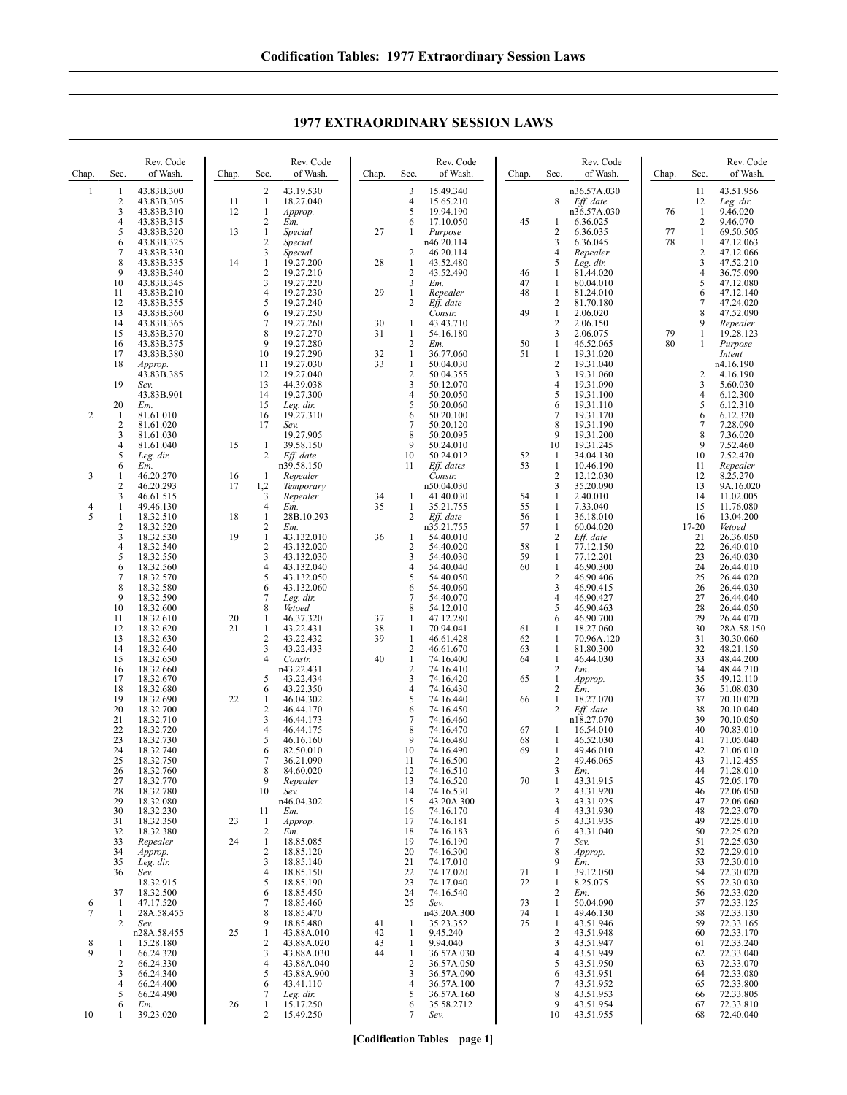| Chap.                                 | Sec.                           | Rev. Code<br>of Wash.    | Chap.    | Sec.                             | Rev. Code<br>of Wash.    | Chap.    | Sec.                                    | Rev. Code<br>of Wash.    | Chap.    | Sec.                                    | Rev. Code<br>of Wash.    | Chap.    | Sec.                             | Rev. Code<br>of Wash.   |
|---------------------------------------|--------------------------------|--------------------------|----------|----------------------------------|--------------------------|----------|-----------------------------------------|--------------------------|----------|-----------------------------------------|--------------------------|----------|----------------------------------|-------------------------|
| $\mathbf{1}$                          | 1<br>$\overline{c}$            | 43.83B.300<br>43.83B.305 | 11       | 2<br>1                           | 43.19.530<br>18.27.040   |          | 3<br>4                                  | 15.49.340<br>15.65.210   |          | 8                                       | n36.57A.030<br>Eff. date |          | 11<br>12                         | 43.51.956<br>Leg. dir.  |
|                                       | 3                              | 43.83B.310               | 12       | 1                                | Approp.                  |          | 5                                       | 19.94.190                |          |                                         | n36.57A.030              | 76       | -1                               | 9.46.020                |
|                                       | 4<br>5                         | 43.83B.315<br>43.83B.320 | 13       | $\overline{c}$<br>$\,1\,$        | Em.<br>Special           | 27       | 6<br>1                                  | 17.10.050<br>Purpose     | 45       | 1<br>$\overline{c}$                     | 6.36.025<br>6.36.035     | 77       | 2<br>$\mathbf{1}$                | 9.46.070<br>69.50.505   |
|                                       | 6<br>$\boldsymbol{7}$          | 43.83B.325<br>43.83B.330 |          | $\sqrt{2}$<br>3                  | Special<br>Special       |          | $\overline{\mathbf{c}}$                 | n46.20.114<br>46.20.114  |          | 3<br>4                                  | 6.36.045<br>Repealer     | 78       | $\mathbf{1}$<br>$\boldsymbol{2}$ | 47.12.063<br>47.12.066  |
|                                       | $\,$ 8 $\,$<br>9               | 43.83B.335<br>43.83B.340 | 14       | $\mathbf{1}$<br>$\sqrt{2}$       | 19.27.200<br>19.27.210   | 28       | $\mathbf{1}$<br>$\overline{\mathbf{c}}$ | 43.52.480<br>43.52.490   | 46       | 5<br>1                                  | Leg. dir.<br>81.44.020   |          | 3<br>4                           | 47.52.210<br>36.75.090  |
|                                       | 10<br>11                       | 43.83B.345<br>43.83B.210 |          | 3<br>$\overline{4}$              | 19.27.220<br>19.27.230   | 29       | 3<br>$\mathbf{1}$                       | Em.<br>Repealer          | 47<br>48 | 1<br>$\mathbf{1}$                       | 80.04.010<br>81.24.010   |          | 5<br>6                           | 47.12.080<br>47.12.140  |
|                                       | 12                             | 43.83B.355               |          | 5                                | 19.27.240                |          | 2                                       | Eff. date                |          | $\overline{\mathbf{c}}$                 | 81.70.180                |          | 7                                | 47.24.020               |
|                                       | 13<br>14                       | 43.83B.360<br>43.83B.365 |          | 6<br>7                           | 19.27.250<br>19.27.260   | 30       | 1                                       | Constr.<br>43.43.710     | 49       | 1<br>$\overline{\mathbf{c}}$            | 2.06.020<br>2.06.150     |          | 8<br>9                           | 47.52.090<br>Repealer   |
|                                       | 15<br>16                       | 43.83B.370<br>43.83B.375 |          | 8<br>9                           | 19.27.270<br>19.27.280   | 31       | 1<br>$\overline{\mathbf{c}}$            | 54.16.180<br>Em.         | 50       | 3<br>1                                  | 2.06.075<br>46.52.065    | 79<br>80 | 1<br>1                           | 19.28.123<br>Purpose    |
|                                       | 17<br>18                       | 43.83B.380<br>Approp.    |          | 10<br>11                         | 19.27.290<br>19.27.030   | 32<br>33 | $\mathbf{1}$<br>$\mathbf{1}$            | 36.77.060<br>50.04.030   | 51       | 1<br>$\overline{c}$                     | 19.31.020<br>19.31.040   |          |                                  | Intent<br>n4.16.190     |
|                                       | 19                             | 43.83B.385<br>Sev.       |          | 12<br>13                         | 19.27.040<br>44.39.038   |          | $\overline{\mathbf{c}}$<br>3            | 50.04.355<br>50.12.070   |          | 3<br>4                                  | 19.31.060<br>19.31.090   |          | 2<br>3                           | 4.16.190<br>5.60.030    |
|                                       | 20                             | 43.83B.901<br>Em.        |          | 14<br>15                         | 19.27.300<br>Leg. dir.   |          | $\overline{4}$<br>5                     | 50.20.050<br>50.20.060   |          | 5<br>6                                  | 19.31.100<br>19.31.110   |          | 4<br>5                           | 6.12.300<br>6.12.310    |
| $\overline{2}$                        | $\mathbf{1}$<br>$\overline{2}$ | 81.61.010                |          | 16<br>17                         | 19.27.310                |          | 6<br>7                                  | 50.20.100<br>50.20.120   |          | 7<br>8                                  | 19.31.170<br>19.31.190   |          | 6<br>7                           | 6.12.320<br>7.28.090    |
|                                       | 3                              | 81.61.020<br>81.61.030   |          |                                  | Sev.<br>19.27.905        |          | 8                                       | 50.20.095                |          | 9                                       | 19.31.200                |          | 8                                | 7.36.020                |
|                                       | 4<br>5                         | 81.61.040<br>Leg. dir.   | 15       | 1<br>$\overline{2}$              | 39.58.150<br>Eff. date   |          | 9<br>10                                 | 50.24.010<br>50.24.012   | 52       | 10<br>1                                 | 19.31.245<br>34.04.130   |          | 9<br>10                          | 7.52.460<br>7.52.470    |
| 3                                     | 6<br>-1                        | Em.<br>46.20.270         | 16       | 1                                | n39.58.150<br>Repealer   |          | 11                                      | Eff. dates<br>Constr.    | 53       | 1<br>$\overline{c}$                     | 10.46.190<br>12.12.030   |          | 11<br>12                         | Repealer<br>8.25.270    |
|                                       | $\sqrt{2}$<br>3                | 46.20.293<br>46.61.515   | 17       | 1,2<br>3                         | Temporary<br>Repealer    | 34       | 1                                       | n50.04.030<br>41.40.030  | 54       | 3<br>1                                  | 35.20.090<br>2.40.010    |          | 13<br>14                         | 9A.16.020<br>11.02.005  |
| $\overline{4}$<br>5                   | $\mathbf{1}$<br>$\mathbf{1}$   | 49.46.130<br>18.32.510   | 18       | $\overline{4}$<br>$\mathbf{1}$   | Em.<br>28B.10.293        | 35       | $\mathbf{1}$<br>2                       | 35.21.755<br>Eff. date   | 55<br>56 | 1<br>1                                  | 7.33.040<br>36.18.010    |          | 15<br>16                         | 11.76.080<br>13.04.200  |
|                                       | $\sqrt{2}$<br>3                | 18.32.520<br>18.32.530   | 19       | $\sqrt{2}$<br>$\mathbf{1}$       | Em.<br>43.132.010        | 36       | 1                                       | n35.21.755<br>54.40.010  | 57       | 1<br>$\overline{c}$                     | 60.04.020<br>Eff. date   |          | 17-20<br>21                      | Vetoed<br>26.36.050     |
|                                       | $\overline{4}$<br>5            | 18.32.540<br>18.32.550   |          | $\sqrt{2}$<br>$\mathfrak{Z}$     | 43.132.020<br>43.132.030 |          | $\overline{c}$<br>3                     | 54.40.020<br>54.40.030   | 58<br>59 | $\mathbf{1}$<br>1                       | 77.12.150<br>77.12.201   |          | 22<br>23                         | 26.40.010               |
|                                       | 6                              | 18.32.560                |          | $\overline{4}$                   | 43.132.040               |          | 4                                       | 54.40.040                | 60       | 1                                       | 46.90.300                |          | 24                               | 26.40.030<br>26.44.010  |
|                                       | $\overline{7}$<br>$\,$ 8 $\,$  | 18.32.570<br>18.32.580   |          | 5<br>6                           | 43.132.050<br>43.132.060 |          | 5<br>6                                  | 54.40.050<br>54.40.060   |          | $\overline{c}$<br>3                     | 46.90.406<br>46.90.415   |          | 25<br>26                         | 26.44.020<br>26.44.030  |
|                                       | 9<br>10                        | 18.32.590<br>18.32.600   |          | $\overline{7}$<br>8              | Leg. dir.<br>Vetoed      |          | $\overline{7}$<br>8                     | 54.40.070<br>54.12.010   |          | 4<br>5                                  | 46.90.427<br>46.90.463   |          | 27<br>28                         | 26.44.040<br>26.44.050  |
|                                       | 11<br>12                       | 18.32.610<br>18.32.620   | 20<br>21 | $\mathbf{1}$<br>1                | 46.37.320<br>43.22.431   | 37<br>38 | 1<br>$\mathbf{1}$                       | 47.12.280<br>70.94.041   | 61       | 6<br>1                                  | 46.90.700<br>18.27.060   |          | 29<br>30                         | 26.44.070<br>28A.58.150 |
|                                       | 13<br>14                       | 18.32.630<br>18.32.640   |          | $\sqrt{2}$<br>3                  | 43.22.432<br>43.22.433   | 39       | $\mathbf{1}$<br>$\overline{\mathbf{c}}$ | 46.61.428<br>46.61.670   | 62<br>63 | 1<br>1                                  | 70.96A.120<br>81.80.300  |          | 31<br>32                         | 30.30.060<br>48.21.150  |
|                                       | 15<br>16                       | 18.32.650<br>18.32.660   |          | $\overline{4}$                   | Constr.<br>n43.22.431    | 40       | $\,1$<br>$\overline{c}$                 | 74.16.400<br>74.16.410   | 64       | 1<br>$\overline{c}$                     | 46.44.030<br>Em.         |          | 33<br>34                         | 48.44.200<br>48.44.210  |
|                                       | 17<br>18                       | 18.32.670<br>18.32.680   |          | 5<br>6                           | 43.22.434<br>43.22.350   |          | 3<br>4                                  | 74.16.420<br>74.16.430   | 65       | $\mathbf{1}$<br>$\overline{c}$          | Approp.<br>Em.           |          | 35<br>36                         | 49.12.110<br>51.08.030  |
|                                       | 19                             | 18.32.690                | 22       | 1                                | 46.04.302                |          | 5                                       | 74.16.440                | 66       | 1                                       | 18.27.070                |          | 37                               | 70.10.020               |
|                                       | 20<br>21                       | 18.32.700<br>18.32.710   |          | $\overline{c}$<br>3              | 46.44.170<br>46.44.173   |          | 6<br>7                                  | 74.16.450<br>74.16.460   |          | $\overline{c}$                          | Eff. date<br>n18.27.070  |          | 38<br>39                         | 70.10.040<br>70.10.050  |
|                                       | 22<br>23                       | 18.32.720<br>18.32.730   |          | $\overline{4}$<br>5              | 46.44.175<br>46.16.160   |          | 8<br>9                                  | 74.16.470<br>74.16.480   | 67<br>68 | 1<br>1                                  | 16.54.010<br>46.52.030   |          | 40<br>41                         | 70.83.010<br>71.05.040  |
|                                       | 24<br>25                       | 18.32.740<br>18.32.750   |          | 6<br>7                           | 82.50.010<br>36.21.090   |          | 10<br>11                                | 74.16.490<br>74.16.500   | 69       | 1<br>2                                  | 49.46.010<br>49.46.065   |          | 42<br>43                         | 71.06.010<br>71.12.455  |
|                                       | 26<br>27                       | 18.32.760<br>18.32.770   |          | 8<br>9                           | 84.60.020<br>Repealer    |          | 12<br>13                                | 74.16.510<br>74.16.520   | 70       | 3<br>1                                  | Em.<br>43.31.915         |          | 44<br>45                         | 71.28.010<br>72.05.170  |
|                                       | 28<br>29                       | 18.32.780<br>18.32.080   |          | 10                               | Sev.<br>n46.04.302       |          | 14<br>15                                | 74.16.530<br>43.20A.300  |          | $\overline{\mathbf{c}}$<br>3            | 43.31.920<br>43.31.925   |          | 46<br>47                         | 72.06.050<br>72.06.060  |
|                                       | 30<br>31                       | 18.32.230<br>18.32.350   | 23       | 11<br>1                          | Em.<br>Approp.           |          | 16<br>17                                | 74.16.170<br>74.16.181   |          | 4<br>5                                  | 43.31.930<br>43.31.935   |          | 48<br>49                         | 72.23.070<br>72.25.010  |
|                                       | 32<br>33                       | 18.32.380<br>Repealer    | 24       | 2<br>1                           | Em.<br>18.85.085         |          | 18<br>19                                | 74.16.183<br>74.16.190   |          | 6<br>7                                  | 43.31.040                |          | 50<br>51                         | 72.25.020<br>72.25.030  |
|                                       | 34                             | Approp.                  |          | $\overline{c}$                   | 18.85.120                |          | 20                                      | 74.16.300                |          | 8<br>9                                  | Sev.<br>Approp.          |          | 52                               | 72.29.010               |
|                                       | 35<br>36                       | Leg. dir.<br>Sev.        |          | $\mathfrak{Z}$<br>$\overline{4}$ | 18.85.140<br>18.85.150   |          | 21<br>22                                | 74.17.010<br>74.17.020   | 71       | 1                                       | Em.<br>39.12.050         |          | 53<br>54                         | 72.30.010<br>72.30.020  |
|                                       | 37                             | 18.32.915<br>18.32.500   |          | 5<br>6                           | 18.85.190<br>18.85.450   |          | 23<br>24                                | 74.17.040<br>74.16.540   | 72       | $\mathbf{1}$<br>$\overline{\mathbf{c}}$ | 8.25.075<br>Em.          |          | 55<br>56                         | 72.30.030<br>72.33.020  |
| 6<br>$\tau$                           | 1<br>1                         | 47.17.520<br>28A.58.455  |          | $\tau$<br>8                      | 18.85.460<br>18.85.470   |          | 25                                      | Sev.<br>n43.20A.300      | 73<br>74 | $\mathbf{1}$<br>1                       | 50.04.090<br>49.46.130   |          | 57<br>58                         | 72.33.125<br>72.33.130  |
|                                       | 2                              | Sev.<br>n28A.58.455      | 25       | 9<br>$\mathbf{1}$                | 18.85.480<br>43.88A.010  | 41<br>42 | 1<br>1                                  | 35.23.352<br>9.45.240    | 75       | 1<br>$\overline{\mathbf{c}}$            | 43.51.946<br>43.51.948   |          | 59<br>60                         | 72.33.165<br>72.33.170  |
| $\begin{array}{c} 8 \\ 9 \end{array}$ | 1<br>1                         | 15.28.180<br>66.24.320   |          | $\overline{2}$<br>3              | 43.88A.020<br>43.88A.030 | 43<br>44 | 1<br>1                                  | 9.94.040<br>36.57A.030   |          | 3<br>4                                  | 43.51.947<br>43.51.949   |          | 61<br>62                         | 72.33.240<br>72.33.040  |
|                                       | 2<br>3                         | 66.24.330<br>66.24.340   |          | $\overline{4}$<br>5              | 43.88A.040<br>43.88A.900 |          | 2<br>3                                  | 36.57A.050<br>36.57A.090 |          | 5<br>6                                  | 43.51.950<br>43.51.951   |          | 63<br>64                         | 72.33.070<br>72.33.080  |
|                                       | $\overline{4}$                 | 66.24.400                |          | 6                                | 43.41.110                |          | 4                                       | 36.57A.100               |          | 7                                       | 43.51.952                |          | 65                               | 72.33.800               |
|                                       | 5<br>6                         | 66.24.490<br>Em.         | 26       | 7<br>-1                          | Leg. dir.<br>15.17.250   |          | 5<br>6                                  | 36.57A.160<br>35.58.2712 |          | 8<br>9                                  | 43.51.953<br>43.51.954   |          | 66<br>67                         | 72.33.805<br>72.33.810  |
| 10                                    | 1                              | 39.23.020                |          | 2                                | 15.49.250                |          | 7                                       | Sev.                     |          | 10                                      | 43.51.955                |          | 68                               | 72.40.040               |

## **1977 EXTRAORDINARY SESSION LAWS**

**[Codification Tables—page 1]**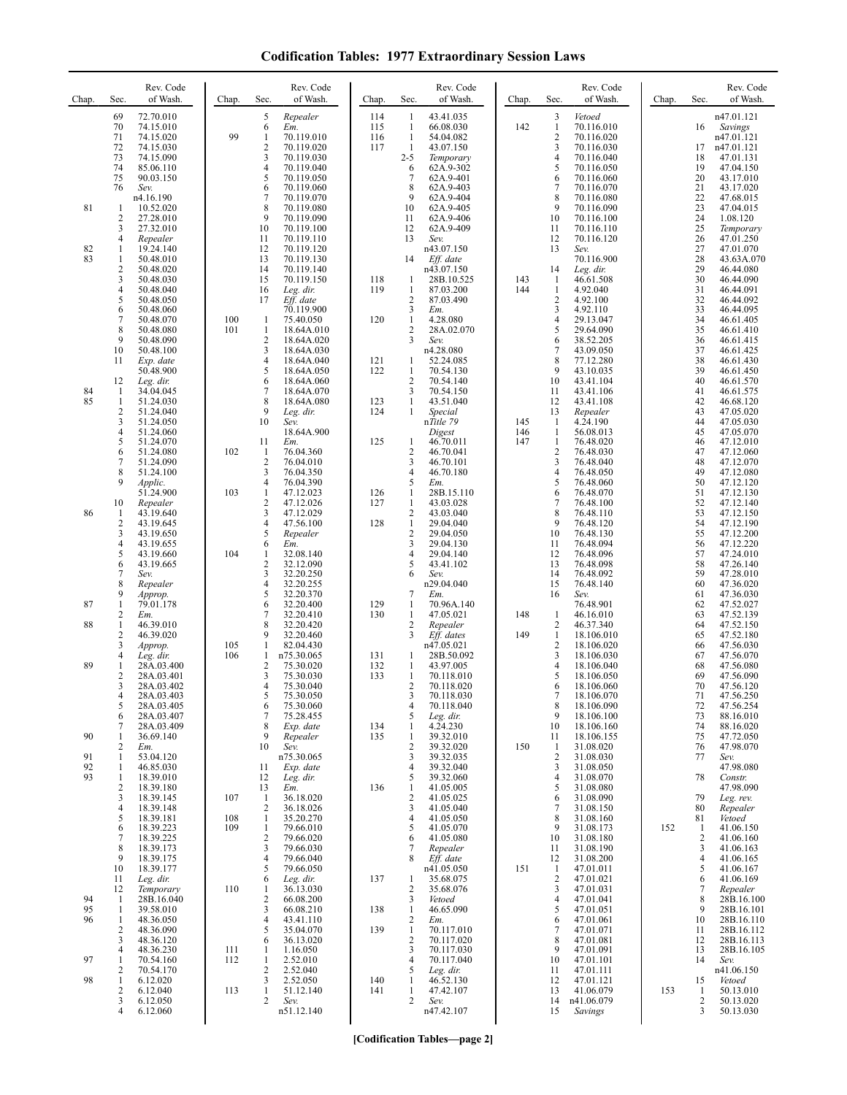**Codification Tables: 1977 Extraordinary Session Laws**

| Chap.          | Sec.                                         | Rev. Code<br>of Wash.                                                                           | Chap.      | Sec.                                                        | Rev. Code<br>of Wash.                                                                               | Chap.                    | Sec.                                                                          | Rev. Code<br>of Wash.                                                                                | Chap.             | Sec.                                                                                   | Rev. Code<br>of Wash.                                                                                    | Chap. | Sec.                                    | Rev. Code<br>of Wash.                                                                                 |
|----------------|----------------------------------------------|-------------------------------------------------------------------------------------------------|------------|-------------------------------------------------------------|-----------------------------------------------------------------------------------------------------|--------------------------|-------------------------------------------------------------------------------|------------------------------------------------------------------------------------------------------|-------------------|----------------------------------------------------------------------------------------|----------------------------------------------------------------------------------------------------------|-------|-----------------------------------------|-------------------------------------------------------------------------------------------------------|
|                | 69<br>70<br>71<br>72<br>73<br>74<br>75<br>76 | 72.70.010<br>74.15.010<br>74.15.020<br>74.15.030<br>74.15.090<br>85.06.110<br>90.03.150<br>Sev. | 99         | 5<br>6<br>1<br>$\overline{\mathbf{c}}$<br>3<br>4<br>5<br>6  | Repealer<br>Em.<br>70.119.010<br>70.119.020<br>70.119.030<br>70.119.040<br>70.119.050<br>70.119.060 | 114<br>115<br>116<br>117 | 1<br>$\mathbf{1}$<br>$\mathbf{1}$<br>1<br>$2 - 5$<br>6<br>$\overline{7}$<br>8 | 43.41.035<br>66.08.030<br>54.04.082<br>43.07.150<br>Temporary<br>62A.9-302<br>62A.9-401<br>62A.9-403 | 142               | 3<br>$\mathbf{1}$<br>$\overline{c}$<br>3<br>$\overline{4}$<br>5<br>6<br>$\overline{7}$ | Vetoed<br>70.116.010<br>70.116.020<br>70.116.030<br>70.116.040<br>70.116.050<br>70.116.060<br>70.116.070 |       | 16<br>17<br>18<br>19<br>20<br>21        | n47.01.121<br>Savings<br>n47.01.121<br>n47.01.121<br>47.01.131<br>47.04.150<br>43.17.010<br>43.17.020 |
| 81             | $\mathbf{1}$<br>2<br>3                       | n4.16.190<br>10.52.020<br>27.28.010<br>27.32.010                                                |            | 7<br>8<br>9<br>10                                           | 70.119.070<br>70.119.080<br>70.119.090<br>70.119.100                                                |                          | 9<br>10<br>11<br>12                                                           | 62A.9-404<br>62A.9-405<br>62A.9-406<br>62A.9-409                                                     |                   | 8<br>9<br>10<br>11                                                                     | 70.116.080<br>70.116.090<br>70.116.100<br>70.116.110                                                     |       | 22<br>23<br>24<br>25                    | 47.68.015<br>47.04.015<br>1.08.120<br>Temporary                                                       |
| 82<br>83       | 4<br>$\mathbf{1}$<br>1<br>2<br>3             | Repealer<br>19.24.140<br>50.48.010<br>50.48.020<br>50.48.030                                    |            | 11<br>12<br>13<br>14<br>15                                  | 70.119.110<br>70.119.120<br>70.119.130<br>70.119.140<br>70.119.150                                  | 118                      | 13<br>14<br>1                                                                 | Sev.<br>n43.07.150<br>Eff. date<br>n43.07.150<br>28B.10.525                                          | 143               | 12<br>13<br>14<br>-1                                                                   | 70.116.120<br>Sev.<br>70.116.900<br>Leg. dir.<br>46.61.508                                               |       | 26<br>27<br>28<br>29<br>30              | 47.01.250<br>47.01.070<br>43.63A.070<br>46.44.080<br>46.44.090                                        |
|                | 4<br>5<br>6<br>7                             | 50.48.040<br>50.48.050<br>50.48.060<br>50.48.070                                                | 100        | 16<br>17<br>$\mathbf{1}$                                    | Leg. dir.<br>Eff. date<br>70.119.900<br>75.40.050                                                   | 119<br>120               | $\mathbf{1}$<br>$\sqrt{2}$<br>3<br>$\mathbf{1}$                               | 87.03.200<br>87.03.490<br>Em.<br>4.28.080                                                            | 144               | $\mathbf{1}$<br>$\overline{\mathbf{c}}$<br>3<br>4                                      | 4.92.040<br>4.92.100<br>4.92.110<br>29.13.047                                                            |       | 31<br>32<br>33<br>34                    | 46.44.091<br>46.44.092<br>46.44.095<br>46.61.405                                                      |
|                | 8<br>9<br>10<br>11                           | 50.48.080<br>50.48.090<br>50.48.100<br>Exp. date<br>50.48.900                                   | 101        | 1<br>$\overline{2}$<br>3<br>4<br>5                          | 18.64A.010<br>18.64A.020<br>18.64A.030<br>18.64A.040<br>18.64A.050                                  | 121<br>122               | $\sqrt{2}$<br>3<br>1<br>$\mathbf{1}$                                          | 28A.02.070<br>Sev.<br>n4.28.080<br>52.24.085<br>70.54.130                                            |                   | 5<br>6<br>7<br>8<br>9                                                                  | 29.64.090<br>38.52.205<br>43.09.050<br>77.12.280<br>43.10.035                                            |       | 35<br>36<br>37<br>38<br>39              | 46.61.410<br>46.61.415<br>46.61.425<br>46.61.430<br>46.61.450                                         |
| 84<br>85       | 12<br>-1<br>$\mathbf{1}$<br>2                | Leg. dir.<br>34.04.045<br>51.24.030<br>51.24.040                                                |            | 6<br>$\overline{7}$<br>8<br>9                               | 18.64A.060<br>18.64A.070<br>18.64A.080<br>Leg. dir.                                                 | 123<br>124               | $\overline{c}$<br>3<br>$\mathbf{1}$<br>1                                      | 70.54.140<br>70.54.150<br>43.51.040<br>Special                                                       |                   | 10<br>11<br>12<br>13                                                                   | 43.41.104<br>43.41.106<br>43.41.108<br>Repealer                                                          |       | 40<br>41<br>42<br>43                    | 46.61.570<br>46.61.575<br>46.68.120<br>47.05.020                                                      |
|                | 3<br>4<br>5<br>6<br>7                        | 51.24.050<br>51.24.060<br>51.24.070<br>51.24.080<br>51.24.090                                   | 102        | 10<br>11<br>-1<br>$\overline{c}$                            | Sev.<br>18.64A.900<br>Em.<br>76.04.360<br>76.04.010                                                 | 125                      | 1<br>$\overline{2}$<br>3                                                      | nTitle 79<br>Digest<br>46.70.011<br>46.70.041<br>46.70.101                                           | 145<br>146<br>147 | $\mathbf{1}$<br>1<br>$\mathbf{1}$<br>$\overline{\mathbf{c}}$<br>3                      | 4.24.190<br>56.08.013<br>76.48.020<br>76.48.030<br>76.48.040                                             |       | 44<br>45<br>46<br>47<br>48              | 47.05.030<br>47.05.070<br>47.12.010<br>47.12.060<br>47.12.070                                         |
| 86             | 8<br>9<br>10<br>$\mathbf{1}$                 | 51.24.100<br><i>Applic.</i><br>51.24.900<br>Repealer<br>43.19.640                               | 103        | 3<br>4<br>1<br>2<br>3                                       | 76.04.350<br>76.04.390<br>47.12.023<br>47.12.026<br>47.12.029                                       | 126<br>127               | $\overline{4}$<br>5<br>$\mathbf{1}$<br>1<br>$\sqrt{2}$                        | 46.70.180<br>Em.<br>28B.15.110<br>43.03.028<br>43.03.040                                             |                   | $\overline{4}$<br>5<br>6<br>7<br>8                                                     | 76.48.050<br>76.48.060<br>76.48.070<br>76.48.100<br>76.48.110                                            |       | 49<br>50<br>51<br>52<br>53              | 47.12.080<br>47.12.120<br>47.12.130<br>47.12.140<br>47.12.150                                         |
|                | 2<br>3<br>4<br>5<br>6                        | 43.19.645<br>43.19.650<br>43.19.655<br>43.19.660<br>43.19.665                                   | 104        | 4<br>5<br>6<br>1<br>$\overline{c}$                          | 47.56.100<br>Repealer<br>Em.<br>32.08.140<br>32.12.090                                              | 128                      | $\mathbf{1}$<br>$\overline{2}$<br>3<br>$\overline{4}$<br>5                    | 29.04.040<br>29.04.050<br>29.04.130<br>29.04.140<br>43.41.102                                        |                   | 9<br>10<br>11<br>12<br>13                                                              | 76.48.120<br>76.48.130<br>76.48.094<br>76.48.096<br>76.48.098                                            |       | 54<br>55<br>56<br>57<br>58              | 47.12.190<br>47.12.200<br>47.12.220<br>47.24.010<br>47.26.140                                         |
| 87             | 7<br>8<br>9<br>$\mathbf{1}$                  | Sev.<br>Repealer<br>Approp.<br>79.01.178                                                        |            | 3<br>4<br>5<br>6                                            | 32.20.250<br>32.20.255<br>32.20.370<br>32.20.400                                                    | 129                      | 6<br>7<br>1                                                                   | Sev.<br>n29.04.040<br>Em.<br>70.96A.140                                                              |                   | 14<br>15<br>16                                                                         | 76.48.092<br>76.48.140<br>Sev.<br>76.48.901                                                              |       | 59<br>60<br>61<br>62                    | 47.28.010<br>47.36.020<br>47.36.030<br>47.52.027                                                      |
| 88             | 2<br>$\mathbf{1}$<br>2<br>3<br>4             | Em.<br>46.39.010<br>46.39.020<br>Approp.<br>Leg. dir.                                           | 105<br>106 | 7<br>8<br>9<br>1<br>1                                       | 32.20.410<br>32.20.420<br>32.20.460<br>82.04.430<br>n75.30.065                                      | 130<br>131               | $\mathbf{1}$<br>$\overline{2}$<br>3<br>1                                      | 47.05.021<br>Repealer<br>Eff. dates<br>n47.05.021<br>28B.50.092                                      | 148<br>149        | $\mathbf{1}$<br>2<br>1<br>$\overline{\mathbf{c}}$<br>3                                 | 46.16.010<br>46.37.340<br>18.106.010<br>18.106.020<br>18.106.030                                         |       | 63<br>64<br>65<br>66<br>67              | 47.52.139<br>47.52.150<br>47.52.180<br>47.56.030<br>47.56.070                                         |
| 89             | 1<br>2<br>3<br>4<br>5                        | 28A.03.400<br>28A.03.401<br>28A.03.402<br>28A.03.403<br>28A.03.405                              |            | $\overline{\mathbf{c}}$<br>3<br>4<br>$\mathcal{L}$<br>6     | 75.30.020<br>75.30.030<br>75.30.040<br>75.30.050<br>75.30.060                                       | 132<br>133               | 1<br>$\mathbf{1}$<br>2<br>3<br>4                                              | 43.97.005<br>70.118.010<br>70.118.020<br>70.118.030<br>70.118.040                                    |                   | 4<br>5<br>6<br>8                                                                       | 18.106.040<br>18.106.050<br>18.106.060<br>18.106.070<br>18.106.090                                       |       | 68<br>69<br>70<br>71<br>72              | 47.56.080<br>47.56.090<br>47.56.120<br>47.56.250<br>47.56.254                                         |
| 90             | 6<br>7<br>1<br>2                             | 28A.03.407<br>28A.03.409<br>36.69.140<br>Em.                                                    |            | 7<br>8<br>9<br>10                                           | 75.28.455<br>Exp. date<br>Repealer<br>Sev.                                                          | 134<br>135               | 5<br>1<br>1<br>$\sqrt{2}$                                                     | Leg. dir.<br>4.24.230<br>39.32.010<br>39.32.020                                                      | 150               | 9<br>10<br>11<br>1                                                                     | 18.106.100<br>18.106.160<br>18.106.155<br>31.08.020                                                      |       | 73<br>74<br>75<br>76                    | 88.16.010<br>88.16.020<br>47.72.050<br>47.98.070                                                      |
| 91<br>92<br>93 | 1<br>$\mathbf{1}$<br>$\mathbf{1}$<br>2<br>3  | 53.04.120<br>46.85.030<br>18.39.010<br>18.39.180<br>18.39.145                                   | 107        | 11<br>12<br>13<br>1                                         | n75.30.065<br>Exp. date<br>Leg. dir.<br>Em.<br>36.18.020                                            | 136                      | 3<br>$\overline{4}$<br>5<br>$\mathbf{1}$<br>$\sqrt{2}$                        | 39.32.035<br>39.32.040<br>39.32.060<br>41.05.005<br>41.05.025                                        |                   | $\overline{\mathbf{c}}$<br>3<br>4<br>5<br>6                                            | 31.08.030<br>31.08.050<br>31.08.070<br>31.08.080<br>31.08.090                                            |       | 77<br>78<br>79                          | Sev.<br>47.98.080<br>Constr.<br>47.98.090<br>Leg. rev.                                                |
|                | 4<br>5<br>6<br>7<br>8<br>9                   | 18.39.148<br>18.39.181<br>18.39.223<br>18.39.225<br>18.39.173<br>18.39.175                      | 108<br>109 | $\sqrt{2}$<br>$\mathbf{1}$<br>1<br>$\overline{2}$<br>3<br>4 | 36.18.026<br>35.20.270<br>79.66.010<br>79.66.020<br>79.66.030<br>79.66.040                          |                          | $\overline{3}$<br>$\overline{4}$<br>5<br>6<br>7<br>8                          | 41.05.040<br>41.05.050<br>41.05.070<br>41.05.080<br>Repealer<br>Eff. date                            |                   | 7<br>8<br>9<br>10<br>11<br>12                                                          | 31.08.150<br>31.08.160<br>31.08.173<br>31.08.180<br>31.08.190<br>31.08.200                               | 152   | 80<br>81<br>1<br>$\mathbf{2}$<br>3<br>4 | Repealer<br>Vetoed<br>41.06.150<br>41.06.160<br>41.06.163<br>41.06.165                                |
| 94<br>95       | 10<br>11<br>12<br>-1<br>-1                   | 18.39.177<br>Leg. dir.<br>Temporary<br>28B.16.040<br>39.58.010                                  | 110        | 5<br>6<br>1<br>$\mathbf{2}$<br>3                            | 79.66.050<br>Leg. dir.<br>36.13.030<br>66.08.200<br>66.08.210                                       | 137<br>138               | -1<br>$\overline{c}$<br>$\mathbf{3}$<br>$\mathbf{1}$                          | n41.05.050<br>35.68.075<br>35.68.076<br>Vetoed<br>46.65.090                                          | 151               | $\mathbf{1}$<br>$\overline{2}$<br>3<br>4<br>5                                          | 47.01.011<br>47.01.021<br>47.01.031<br>47.01.041<br>47.01.051                                            |       | 5<br>6<br>7<br>8<br>9                   | 41.06.167<br>41.06.169<br>Repealer<br>28B.16.100<br>28B.16.101                                        |
| 96<br>97       | $\mathbf{1}$<br>2<br>3<br>4<br>$\mathbf{1}$  | 48.36.050<br>48.36.090<br>48.36.120<br>48.36.230<br>70.54.160                                   | 111<br>112 | 4<br>5<br>6<br>-1<br>1                                      | 43.41.110<br>35.04.070<br>36.13.020<br>1.16.050<br>2.52.010                                         | 139                      | $\sqrt{2}$<br>$\mathbf{1}$<br>$\sqrt{2}$<br>3<br>$\overline{4}$               | Em.<br>70.117.010<br>70.117.020<br>70.117.030<br>70.117.040                                          |                   | 6<br>7<br>8<br>9<br>10                                                                 | 47.01.061<br>47.01.071<br>47.01.081<br>47.01.091<br>47.01.101                                            |       | 10<br>11<br>12<br>13<br>14              | 28B.16.110<br>28B.16.112<br>28B.16.113<br>28B.16.105<br>Sev.                                          |
| 98             | 2<br>1<br>2<br>3<br>4                        | 70.54.170<br>6.12.020<br>6.12.040<br>6.12.050<br>6.12.060                                       | 113        | 2<br>3<br>$\mathbf{1}$<br>2                                 | 2.52.040<br>2.52.050<br>51.12.140<br>Sev.<br>n51.12.140                                             | 140<br>141               | 5<br>$\mathbf{1}$<br>$\mathbf{1}$<br>2                                        | Leg. dir.<br>46.52.130<br>47.42.107<br>Sev.<br>n47.42.107                                            |                   | 11<br>12<br>13<br>14<br>15                                                             | 47.01.111<br>47.01.121<br>41.06.079<br>n41.06.079<br>Savings                                             | 153   | 15<br>1<br>2<br>3                       | n41.06.150<br>Vetoed<br>50.13.010<br>50.13.020<br>50.13.030                                           |

**[Codification Tables—page 2]**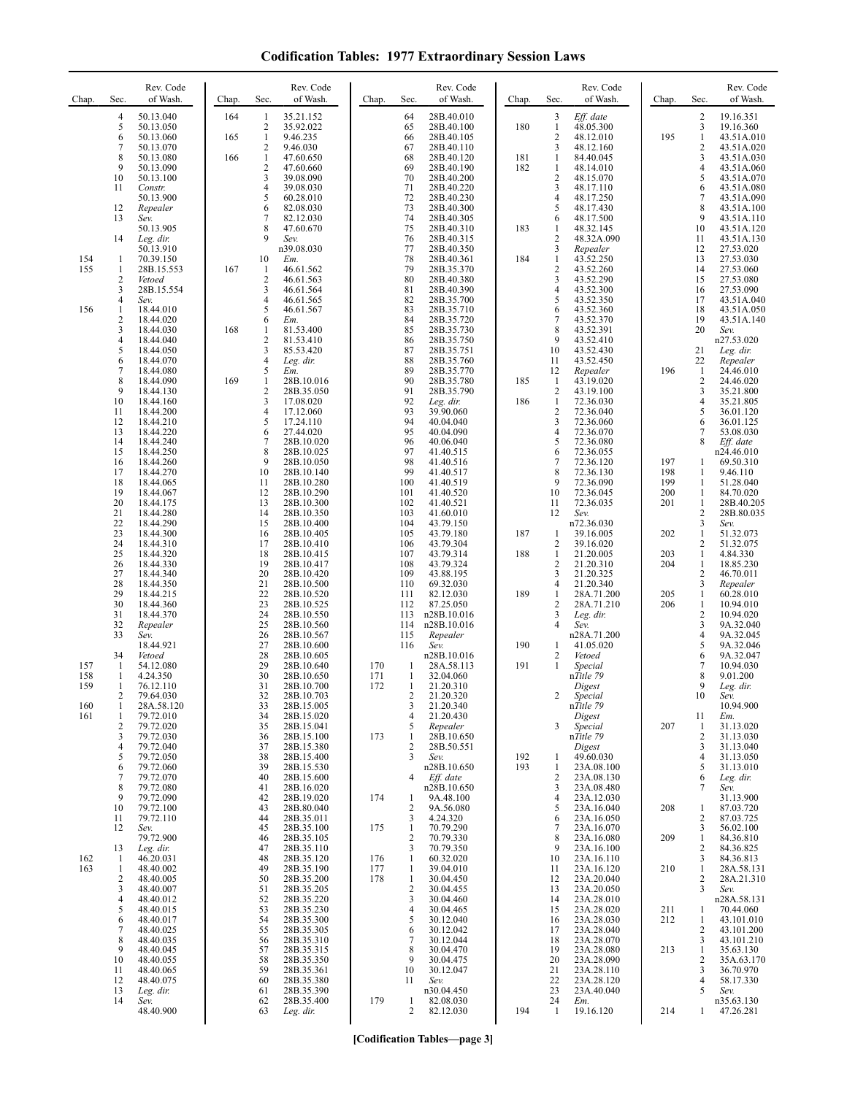**Codification Tables: 1977 Extraordinary Session Laws**

| Chap.             | Sec.                                       | Rev. Code<br>of Wash.                             | Chap.      | Sec.                                     | Rev. Code<br>of Wash.                                | Chap.      | Sec.                                     | Rev. Code<br>of Wash.                                | Chap.      | Sec.                                                          | Rev. Code<br>of Wash.                                | Chap.             | Sec.                                           | Rev. Code<br>of Wash.                                |
|-------------------|--------------------------------------------|---------------------------------------------------|------------|------------------------------------------|------------------------------------------------------|------------|------------------------------------------|------------------------------------------------------|------------|---------------------------------------------------------------|------------------------------------------------------|-------------------|------------------------------------------------|------------------------------------------------------|
|                   | 4<br>5<br>6<br>7                           | 50.13.040<br>50.13.050<br>50.13.060<br>50.13.070  | 164<br>165 | 1<br>2<br>$\mathbf{1}$<br>2              | 35.21.152<br>35.92.022<br>9.46.235<br>9.46.030       |            | 64<br>65<br>66<br>67                     | 28B.40.010<br>28B.40.100<br>28B.40.105<br>28B.40.110 | 180        | 3<br>1<br>$\overline{c}$<br>3                                 | Eff. date<br>48.05.300<br>48.12.010<br>48.12.160     | 195               | $\sqrt{2}$<br>3<br>$\mathbf{1}$<br>2           | 19.16.351<br>19.16.360<br>43.51A.010<br>43.51A.020   |
|                   | 8<br>9<br>10                               | 50.13.080<br>50.13.090<br>50.13.100               | 166        | $\mathbf 1$<br>$\overline{c}$<br>3       | 47.60.650<br>47.60.660<br>39.08.090                  |            | 68<br>69<br>70                           | 28B.40.120<br>28B.40.190<br>28B.40.200               | 181<br>182 | $\mathbf{1}$<br>1<br>$\overline{c}$                           | 84.40.045<br>48.14.010<br>48.15.070                  |                   | 3<br>4<br>5                                    | 43.51A.030<br>43.51A.060<br>43.51A.070               |
|                   | 11<br>12<br>13                             | Constr.<br>50.13.900<br>Repealer<br>Sev.          |            | 4<br>5<br>6<br>7                         | 39.08.030<br>60.28.010<br>82.08.030<br>82.12.030     |            | 71<br>72<br>73<br>74                     | 28B.40.220<br>28B.40.230<br>28B.40.300<br>28B.40.305 |            | 3<br>4<br>5<br>6                                              | 48.17.110<br>48.17.250<br>48.17.430<br>48.17.500     |                   | 6<br>7<br>8<br>9                               | 43.51A.080<br>43.51A.090<br>43.51A.100<br>43.51A.110 |
|                   | 14                                         | 50.13.905<br>Leg. dir.<br>50.13.910               |            | 8<br>9                                   | 47.60.670<br>Sev.<br>n39.08.030                      |            | 75<br>76<br>77                           | 28B.40.310<br>28B.40.315<br>28B.40.350               | 183        | 1<br>$\overline{2}$<br>3                                      | 48.32.145<br>48.32A.090<br>Repealer                  |                   | 10<br>11<br>12                                 | 43.51A.120<br>43.51A.130<br>27.53.020                |
| 154<br>155        | $\mathbf{1}$<br>1<br>2<br>3                | 70.39.150<br>28B.15.553<br>Vetoed<br>28B.15.554   | 167        | 10<br>-1<br>2<br>3                       | Em.<br>46.61.562<br>46.61.563<br>46.61.564           |            | 78<br>79<br>80<br>81                     | 28B.40.361<br>28B.35.370<br>28B.40.380<br>28B.40.390 | 184        | 1<br>$\overline{c}$<br>3<br>4                                 | 43.52.250<br>43.52.260<br>43.52.290<br>43.52.300     |                   | 13<br>14<br>15<br>16                           | 27.53.030<br>27.53.060<br>27.53.080<br>27.53.090     |
| 156               | $\overline{4}$<br>1<br>$\overline{2}$<br>3 | Sev.<br>18.44.010<br>18.44.020<br>18.44.030       | 168        | $\overline{4}$<br>5<br>6<br>$\mathbf{1}$ | 46.61.565<br>46.61.567<br>Em.<br>81.53.400           |            | 82<br>83<br>84<br>85                     | 28B.35.700<br>28B.35.710<br>28B.35.720<br>28B.35.730 |            | 5<br>6<br>7<br>8                                              | 43.52.350<br>43.52.360<br>43.52.370<br>43.52.391     |                   | 17<br>18<br>19<br>20                           | 43.51A.040<br>43.51A.050<br>43.51A.140<br>Sev.       |
|                   | $\overline{4}$<br>5<br>6                   | 18.44.040<br>18.44.050<br>18.44.070               |            | $\overline{c}$<br>3<br>4                 | 81.53.410<br>85.53.420<br>Leg. dir.                  |            | 86<br>87<br>88                           | 28B.35.750<br>28B.35.751<br>28B.35.760               |            | 9<br>10<br>11                                                 | 43.52.410<br>43.52.430<br>43.52.450                  |                   | 21<br>22                                       | n27.53.020<br>Leg. dir.<br>Repealer                  |
|                   | $\boldsymbol{7}$<br>8<br>9<br>10           | 18.44.080<br>18.44.090<br>18.44.130<br>18.44.160  | 169        | 5<br>$\mathbf{1}$<br>$\overline{c}$<br>3 | Em.<br>28B.10.016<br>28B.35.050<br>17.08.020         |            | 89<br>90<br>91<br>92                     | 28B.35.770<br>28B.35.780<br>28B.35.790<br>Leg. dir.  | 185<br>186 | 12<br>$\mathbf{1}$<br>$\overline{\mathbf{c}}$<br>$\mathbf{1}$ | Repealer<br>43.19.020<br>43.19.100<br>72.36.030      | 196               | 1<br>$\sqrt{2}$<br>3<br>$\overline{4}$         | 24.46.010<br>24.46.020<br>35.21.800<br>35.21.805     |
|                   | 11<br>12<br>13<br>14                       | 18.44.200<br>18.44.210<br>18.44.220<br>18.44.240  |            | $\overline{4}$<br>5<br>6<br>7            | 17.12.060<br>17.24.110<br>27.44.020<br>28B.10.020    |            | 93<br>94<br>95<br>96                     | 39.90.060<br>40.04.040<br>40.04.090<br>40.06.040     |            | $\overline{2}$<br>3<br>4<br>5                                 | 72.36.040<br>72.36.060<br>72.36.070<br>72.36.080     |                   | 5<br>6<br>7<br>8                               | 36.01.120<br>36.01.125<br>53.08.030<br>Eff. date     |
|                   | 15<br>16<br>17<br>18                       | 18.44.250<br>18.44.260<br>18.44.270<br>18.44.065  |            | 8<br>9<br>10<br>11                       | 28B.10.025<br>28B.10.050<br>28B.10.140<br>28B.10.280 |            | 97<br>98<br>99<br>100                    | 41.40.515<br>41.40.516<br>41.40.517<br>41.40.519     |            | 6<br>7<br>8<br>9                                              | 72.36.055<br>72.36.120<br>72.36.130<br>72.36.090     | 197<br>198<br>199 | 1<br>1<br>1                                    | n24.46.010<br>69.50.310<br>9.46.110<br>51.28.040     |
|                   | 19<br>20<br>21<br>22                       | 18.44.067<br>18.44.175<br>18.44.280<br>18.44.290  |            | 12<br>13<br>14<br>15                     | 28B.10.290<br>28B.10.300<br>28B.10.350<br>28B.10.400 |            | 101<br>102<br>103<br>104                 | 41.40.520<br>41.40.521<br>41.60.010<br>43.79.150     |            | 10<br>11<br>12                                                | 72.36.045<br>72.36.035<br>Sev.<br>n72.36.030         | 200<br>201        | 1<br>$\mathbf{1}$<br>2<br>3                    | 84.70.020<br>28B.40.205<br>28B.80.035<br>Sev.        |
|                   | 23<br>24<br>25                             | 18.44.300<br>18.44.310<br>18.44.320               |            | 16<br>17<br>18                           | 28B.10.405<br>28B.10.410<br>28B.10.415               |            | 105<br>106<br>107                        | 43.79.180<br>43.79.304<br>43.79.314                  | 187<br>188 | $\mathbf{1}$<br>2<br>1                                        | 39.16.005<br>39.16.020<br>21.20.005                  | 202<br>203        | $\mathbf{1}$<br>$\overline{c}$<br>$\mathbf{1}$ | 51.32.073<br>51.32.075<br>4.84.330                   |
|                   | 26<br>27<br>28<br>29                       | 18.44.330<br>18.44.340<br>18.44.350<br>18.44.215  |            | 19<br>20<br>21<br>22                     | 28B.10.417<br>28B.10.420<br>28B.10.500<br>28B.10.520 |            | 108<br>109<br>110<br>111                 | 43.79.324<br>43.88.195<br>69.32.030<br>82.12.030     | 189        | $\overline{\mathbf{c}}$<br>3<br>4<br>1                        | 21.20.310<br>21.20.325<br>21.20.340<br>28A.71.200    | 204<br>205        | $\mathbf{1}$<br>2<br>3<br>$\mathbf{1}$         | 18.85.230<br>46.70.011<br>Repealer<br>60.28.010      |
|                   | 30<br>31<br>32<br>33                       | 18.44.360<br>18.44.370<br>Repealer<br>Sev.        |            | 23<br>24<br>25<br>26                     | 28B.10.525<br>28B.10.550<br>28B.10.560<br>28B.10.567 |            | 112<br>113<br>114<br>115                 | 87.25.050<br>n28B.10.016<br>n28B.10.016<br>Repealer  |            | 2<br>3<br>4                                                   | 28A.71.210<br>Leg. dir.<br>Sev.<br>n28A.71.200       | 206               | 1<br>2<br>3<br>$\overline{4}$                  | 10.94.010<br>10.94.020<br>9A.32.040<br>9A.32.045     |
| 157<br>158        | 34<br>$\mathbf{1}$<br>1                    | 18.44.921<br>Vetoed<br>54.12.080<br>4.24.350      |            | 27<br>28<br>29<br>30                     | 28B.10.600<br>28B.10.605<br>28B.10.640<br>28B.10.650 | 170<br>171 | 116<br>1<br>$\mathbf{1}$                 | Sev.<br>n28B.10.016<br>28A.58.113<br>32.04.060       | 190<br>191 | 1<br>2<br>1                                                   | 41.05.020<br>Vetoed<br>Special<br>nTitle 79          |                   | 5<br>6<br>7<br>8                               | 9A.32.046<br>9A.32.047<br>10.94.030<br>9.01.200      |
| 159<br>160<br>161 | 1<br>2<br>1<br>1                           | 76.12.110<br>79.64.030<br>28A.58.120<br>79.72.010 |            | 31<br>32<br>33<br>34                     | 28B.10.700<br>28B.10.703<br>28B.15.005<br>28B.15.020 | 172        | -1<br>2<br>3<br>4                        | 21.20.310<br>21.20.320<br>21.20.340<br>21.20.430     |            | $\overline{\mathbf{c}}$                                       | Digest<br>Special<br>nTitle 79<br>Digest             |                   | 9<br>10<br>11                                  | Leg. dir.<br>Sev.<br>10.94.900<br>Em.                |
|                   | $\overline{c}$<br>3<br>$\overline{4}$<br>5 | 79.72.020<br>79.72.030<br>79.72.040<br>79.72.050  |            | 35<br>36<br>37<br>38                     | 28B.15.041<br>28B.15.100<br>28B.15.380               | 173        | 5<br>$\mathbf{1}$<br>$\overline{2}$<br>3 | Repealer<br>28B.10.650<br>28B.50.551                 | 192        | 3<br>1                                                        | Special<br>nTitle 79<br>Digest<br>49.60.030          | 207               | 1<br>2<br>3<br>4                               | 31.13.020<br>31.13.030<br>31.13.040<br>31.13.050     |
|                   | 6<br>7<br>8                                | 79.72.060<br>79.72.070<br>79.72.080               |            | 39<br>40<br>41                           | 28B.15.400<br>28B.15.530<br>28B.15.600<br>28B.16.020 |            | 4                                        | Sev.<br>n28B.10.650<br>Eff. date<br>n28B.10.650      | 193        | 1<br>2<br>3                                                   | 23A.08.100<br>23A.08.130<br>23A.08.480               |                   | 5<br>6<br>7                                    | 31.13.010<br>Leg. dir.<br>Sev.                       |
|                   | 9<br>10<br>11<br>12                        | 79.72.090<br>79.72.100<br>79.72.110<br>Sev.       |            | 42<br>43<br>44<br>45                     | 28B.19.020<br>28B.80.040<br>28B.35.011<br>28B.35.100 | 174<br>175 | 1<br>2<br>3<br>1                         | 9A.48.100<br>9A.56.080<br>4.24.320<br>70.79.290      |            | 4<br>5<br>6<br>7                                              | 23A.12.030<br>23A.16.040<br>23A.16.050<br>23A.16.070 | 208               | 1<br>2<br>3                                    | 31.13.900<br>87.03.720<br>87.03.725<br>56.02.100     |
| 162<br>163        | 13<br>$\mathbf{1}$<br>$\mathbf{1}$         | 79.72.900<br>Leg. dir.<br>46.20.031<br>48.40.002  |            | 46<br>47<br>48<br>49                     | 28B.35.105<br>28B.35.110<br>28B.35.120<br>28B.35.190 | 176<br>177 | $\overline{c}$<br>3<br>1<br>$\mathbf{1}$ | 70.79.330<br>70.79.350<br>60.32.020<br>39.04.010     |            | 8<br>9<br>10<br>11                                            | 23A.16.080<br>23A.16.100<br>23A.16.110<br>23A.16.120 | 209<br>210        | $\mathbf{1}$<br>2<br>3<br>1                    | 84.36.810<br>84.36.825<br>84.36.813<br>28A.58.131    |
|                   | $\overline{c}$<br>3<br>$\overline{4}$<br>5 | 48.40.005<br>48.40.007<br>48.40.012<br>48.40.015  |            | 50<br>51<br>52<br>53                     | 28B.35.200<br>28B.35.205<br>28B.35.220<br>28B.35.230 | 178        | $\mathbf{1}$<br>$\overline{2}$<br>3<br>4 | 30.04.450<br>30.04.455<br>30.04.460<br>30.04.465     |            | 12<br>13<br>14<br>15                                          | 23A.20.040<br>23A.20.050<br>23A.28.010<br>23A.28.020 | 211               | 2<br>3<br>1                                    | 28A.21.310<br>Sev.<br>n28A.58.131<br>70.44.060       |
|                   | 6<br>7<br>8<br>9                           | 48.40.017<br>48.40.025<br>48.40.035<br>48.40.045  |            | 54<br>55<br>56<br>57                     | 28B.35.300<br>28B.35.305<br>28B.35.310<br>28B.35.315 |            | 5<br>6<br>7<br>8                         | 30.12.040<br>30.12.042<br>30.12.044<br>30.04.470     |            | 16<br>17<br>18<br>19                                          | 23A.28.030<br>23A.28.040<br>23A.28.070<br>23A.28.080 | 212<br>213        | 1<br>2<br>3<br>$\mathbf{1}$                    | 43.101.010<br>43.101.200<br>43.101.210<br>35.63.130  |
|                   | 10<br>11<br>12                             | 48.40.055<br>48.40.065<br>48.40.075               |            | 58<br>59<br>60                           | 28B.35.350<br>28B.35.361<br>28B.35.380               |            | 9<br>10<br>11                            | 30.04.475<br>30.12.047<br>Sev.                       |            | 20<br>21<br>22                                                | 23A.28.090<br>23A.28.110<br>23A.28.120               |                   | 2<br>3<br>4<br>5                               | 35A.63.170<br>36.70.970<br>58.17.330                 |
|                   | 13<br>14                                   | Leg. dir.<br>Sev.<br>48.40.900                    |            | 61<br>62<br>63                           | 28B.35.390<br>28B.35.400<br>Leg. dir.                | 179        | $\mathbf{1}$<br>2                        | n30.04.450<br>82.08.030<br>82.12.030                 | 194        | 23<br>24<br>1                                                 | 23A.40.040<br>Em.<br>19.16.120                       | 214               | 1                                              | Sev.<br>n35.63.130<br>47.26.281                      |

**[Codification Tables—page 3]**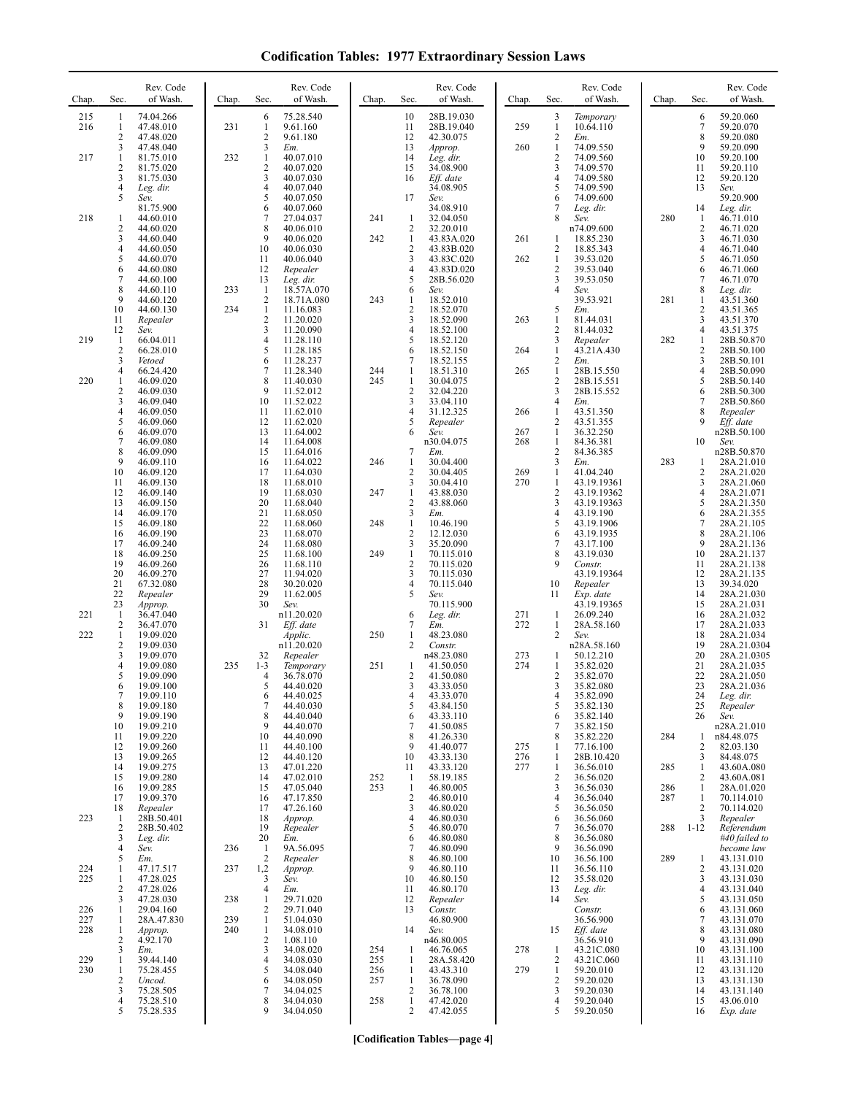**Codification Tables: 1977 Extraordinary Session Laws**

| Chap.             | Sec.                                                  | Rev. Code<br>of Wash.                                         | Chap.             | Rev. Code<br>Sec.<br>of Wash.                                                                                | Chap.                    | Rev. Code<br>Sec.<br>of Wash.                                                                                                                 | Chap.             | Sec.                                                   | Rev. Code<br>of Wash.                                         | Chap.             | Sec.                                              | Rev. Code<br>of Wash.                                              |
|-------------------|-------------------------------------------------------|---------------------------------------------------------------|-------------------|--------------------------------------------------------------------------------------------------------------|--------------------------|-----------------------------------------------------------------------------------------------------------------------------------------------|-------------------|--------------------------------------------------------|---------------------------------------------------------------|-------------------|---------------------------------------------------|--------------------------------------------------------------------|
| 215<br>216        | $\mathbf{1}$<br>1<br>2<br>3                           | 74.04.266<br>47.48.010<br>47.48.020<br>47.48.040              | 231               | 75.28.540<br>6<br>9.61.160<br>$\mathbf{1}$<br>$\overline{c}$<br>9.61.180<br>3<br>Em.                         |                          | 28B.19.030<br>10<br>11<br>28B.19.040<br>12<br>42.30.075<br>13<br>Approp.                                                                      | 259<br>260        | 3<br>$\mathbf{1}$<br>$\overline{2}$<br>$\mathbf{1}$    | Temporary<br>10.64.110<br>Em.<br>74.09.550                    |                   | 6<br>7<br>8<br>9                                  | 59.20.060<br>59.20.070<br>59.20.080<br>59.20.090                   |
| 217               | 1<br>$\overline{c}$<br>3<br>4                         | 81.75.010<br>81.75.020<br>81.75.030<br>Leg. dir.              | 232               | 40.07.010<br>1<br>$\mathbf{2}$<br>40.07.020<br>3<br>40.07.030<br>$\overline{4}$<br>40.07.040                 |                          | 14<br>Leg. dir.<br>15<br>34.08.900<br>16<br>Eff. date<br>34.08.905                                                                            |                   | 2<br>3<br>4<br>5                                       | 74.09.560<br>74.09.570<br>74.09.580<br>74.09.590              |                   | 10<br>11<br>12<br>13                              | 59.20.100<br>59.20.110<br>59.20.120<br>Sev.                        |
| 218               | 5<br>1<br>$\overline{c}$                              | Sev.<br>81.75.900<br>44.60.010<br>44.60.020                   |                   | 5<br>40.07.050<br>6<br>40.07.060<br>7<br>27.04.037<br>8<br>40.06.010                                         | 241                      | 17<br>Sev.<br>34.08.910<br>32.04.050<br>1<br>$\overline{2}$<br>32.20.010                                                                      |                   | 6<br>7<br>8                                            | 74.09.600<br>Leg. dir.<br>Sev.<br>n74.09.600                  | 280               | 14<br>$\mathbf{1}$<br>$\overline{2}$              | 59.20.900<br>Leg. dir.<br>46.71.010<br>46.71.020                   |
|                   | 3<br>4<br>5<br>6<br>$\boldsymbol{7}$                  | 44.60.040<br>44.60.050<br>44.60.070<br>44.60.080<br>44.60.100 |                   | 9<br>40.06.020<br>10<br>40.06.030<br>11<br>40.06.040<br>12<br>Repealer<br>13<br>Leg. dir.                    | 242                      | $\mathbf{1}$<br>43.83A.020<br>$\overline{2}$<br>43.83B.020<br>$\mathfrak{Z}$<br>43.83C.020<br>$\overline{4}$<br>43.83D.020<br>5<br>28B.56.020 | 261<br>262        | 1<br>2<br>$\mathbf{1}$<br>2<br>3                       | 18.85.230<br>18.85.343<br>39.53.020<br>39.53.040<br>39.53.050 |                   | 3<br>$\overline{4}$<br>5<br>6<br>7                | 46.71.030<br>46.71.040<br>46.71.050<br>46.71.060<br>46.71.070      |
|                   | 8<br>9<br>10<br>11                                    | 44.60.110<br>44.60.120<br>44.60.130<br>Repealer               | 233<br>234        | -1<br>18.57A.070<br>$\overline{2}$<br>18.71A.080<br>$\mathbf{1}$<br>11.16.083<br>$\overline{c}$<br>11.20.020 | 243                      | 6<br>Sev.<br>18.52.010<br>-1<br>$\overline{2}$<br>18.52.070<br>3<br>18.52.090                                                                 | 263               | 4<br>5<br>$\mathbf{1}$                                 | Sev.<br>39.53.921<br>Em.<br>81.44.031                         | 281               | 8<br>$\mathbf{1}$<br>$\overline{c}$<br>3          | Leg. dir.<br>43.51.360<br>43.51.365<br>43.51.370                   |
| 219               | 12<br>$\mathbf{1}$<br>$\overline{c}$<br>3             | Sev.<br>66.04.011<br>66.28.010<br>Vetoed                      |                   | 3<br>11.20.090<br>$\overline{4}$<br>11.28.110<br>5<br>11.28.185<br>11.28.237<br>6                            |                          | $\overline{4}$<br>18.52.100<br>5<br>18.52.120<br>6<br>18.52.150<br>$\overline{7}$<br>18.52.155                                                | 264               | 2<br>3<br>1<br>2                                       | 81.44.032<br>Repealer<br>43.21A.430<br>Em.                    | 282               | $\overline{4}$<br>$\mathbf{1}$<br>$\sqrt{2}$<br>3 | 43.51.375<br>28B.50.870<br>28B.50.100<br>28B.50.101                |
| 220               | 4<br>1<br>$\overline{\mathbf{c}}$<br>3                | 66.24.420<br>46.09.020<br>46.09.030<br>46.09.040              |                   | 11.28.340<br>7<br>8<br>11.40.030<br>9<br>11.52.012<br>10<br>11.52.022                                        | 244<br>245               | $\mathbf{1}$<br>18.51.310<br>1<br>30.04.075<br>$\sqrt{2}$<br>32.04.220<br>$\overline{\mathbf{3}}$<br>33.04.110                                | 265               | $\mathbf{1}$<br>2<br>3<br>4                            | 28B.15.550<br>28B.15.551<br>28B.15.552<br>Em.                 |                   | $\overline{4}$<br>5<br>6<br>7                     | 28B.50.090<br>28B.50.140<br>28B.50.300<br>28B.50.860               |
|                   | 4<br>5<br>6<br>7<br>8                                 | 46.09.050<br>46.09.060<br>46.09.070<br>46.09.080<br>46.09.090 |                   | 11<br>11.62.010<br>12<br>11.62.020<br>13<br>11.64.002<br>14<br>11.64.008<br>11.64.016<br>15                  |                          | $\overline{4}$<br>31.12.325<br>5<br>Repealer<br>6<br>Sev.<br>n30.04.075<br>$\overline{7}$<br>Em.                                              | 266<br>267<br>268 | $\mathbf{1}$<br>2<br>$\mathbf{1}$<br>$\mathbf{1}$<br>2 | 43.51.350<br>43.51.355<br>36.32.250<br>84.36.381<br>84.36.385 |                   | 8<br>9<br>10                                      | Repealer<br>Eff. date<br>n28B.50.100<br>Sev.<br>n28B.50.870        |
|                   | 9<br>10<br>11<br>12                                   | 46.09.110<br>46.09.120<br>46.09.130<br>46.09.140              |                   | 11.64.022<br>16<br>17<br>11.64.030<br>18<br>11.68.010<br>19<br>11.68.030                                     | 246<br>247               | 30.04.400<br>$\mathbf{1}$<br>$\overline{2}$<br>30.04.405<br>$\mathfrak{Z}$<br>30.04.410<br>$\mathbf{1}$<br>43.88.030                          | 269<br>270        | 3<br>1<br>$\mathbf{1}$<br>2                            | Em.<br>41.04.240<br>43.19.19361<br>43.19.19362                | 283               | -1<br>$\overline{2}$<br>3<br>$\overline{4}$       | 28A.21.010<br>28A.21.020<br>28A.21.060<br>28A.21.071               |
|                   | 13<br>14<br>15<br>16                                  | 46.09.150<br>46.09.170<br>46.09.180<br>46.09.190              |                   | 20<br>11.68.040<br>21<br>11.68.050<br>22<br>11.68.060<br>23<br>11.68.070                                     | 248                      | $\sqrt{2}$<br>43.88.060<br>3<br>Em.<br>$\mathbf{1}$<br>10.46.190<br>$\overline{2}$<br>12.12.030                                               |                   | 3<br>4<br>5<br>6                                       | 43.19.19363<br>43.19.190<br>43.19.1906<br>43.19.1935          |                   | 5<br>6<br>$\overline{7}$<br>8                     | 28A.21.350<br>28A.21.355<br>28A.21.105<br>28A.21.106               |
|                   | 17<br>18<br>19<br>20<br>21                            | 46.09.240<br>46.09.250<br>46.09.260<br>46.09.270<br>67.32.080 |                   | 24<br>11.68.080<br>25<br>11.68.100<br>26<br>11.68.110<br>27<br>11.94.020<br>28<br>30.20.020                  | 249                      | 3<br>35.20.090<br>$\mathbf{1}$<br>70.115.010<br>$\sqrt{2}$<br>70.115.020<br>$\mathfrak{Z}$<br>70.115.030<br>4<br>70.115.040                   |                   | 7<br>8<br>9<br>10                                      | 43.17.100<br>43.19.030<br>Constr.<br>43.19.19364<br>Repealer  |                   | 9<br>10<br>11<br>12<br>13                         | 28A.21.136<br>28A.21.137<br>28A.21.138<br>28A.21.135<br>39.34.020  |
| 221               | 22<br>23<br>$\mathbf{1}$<br>2                         | Repealer<br>Approp.<br>36.47.040<br>36.47.070                 |                   | 29<br>11.62.005<br>30<br>Sev.<br>n11.20.020<br>31<br>Eff. date                                               |                          | 5<br>Sev.<br>70.115.900<br>6<br>Leg. dir.<br>$\overline{7}$<br>Em.                                                                            | 271<br>272        | 11<br>$\mathbf{1}$<br>$\mathbf{1}$                     | Exp. date<br>43.19.19365<br>26.09.240<br>28A.58.160           |                   | 14<br>15<br>16<br>17                              | 28A.21.030<br>28A.21.031<br>28A.21.032<br>28A.21.033               |
| 222               | 1<br>$\overline{c}$<br>3<br>$\overline{4}$            | 19.09.020<br>19.09.030<br>19.09.070<br>19.09.080              | 235               | Applic.<br>n11.20.020<br>32<br>Repealer<br>$1 - 3$<br>Temporary                                              | 250<br>251               | $\mathbf{1}$<br>48.23.080<br>2<br>Constr.<br>n48.23.080<br>41.50.050<br>-1                                                                    | 273<br>274        | 2<br>$\mathbf{1}$<br>$\mathbf{1}$                      | Sev.<br>n28A.58.160<br>50.12.210<br>35.82.020                 |                   | 18<br>19<br>20<br>21                              | 28A.21.034<br>28A.21.0304<br>28A.21.0305<br>28A.21.035             |
|                   | 5<br>6<br>7<br>8<br>9                                 | 19.09.090<br>19.09.100<br>19.09.110<br>19.09.180<br>19.09.190 |                   | 4<br>36.78.070<br>5<br>44.40.020<br>6<br>44.40.025<br>7<br>44.40.030<br>8<br>44.40.040                       |                          | 2<br>41.50.080<br>$\overline{3}$<br>43.33.050<br>4<br>43.33.070<br>5<br>43.84.150<br>6<br>43.33.110                                           |                   | 2<br>3<br>4<br>5<br>6                                  | 35.82.070<br>35.82.080<br>35.82.090<br>35.82.130<br>35.82.140 |                   | 22<br>23<br>24<br>25<br>26                        | 28A.21.050<br>28A.21.036<br>Leg. dir.<br>Repealer<br>Sev.          |
|                   | 10<br>11<br>12<br>13                                  | 19.09.210<br>19.09.220<br>19.09.260<br>19.09.265              |                   | 44.40.070<br>9<br>10<br>44.40.090<br>44.40.100<br>11<br>12<br>44.40.120                                      |                          | $\overline{7}$<br>41.50.085<br>8<br>41.26.330<br>9<br>41.40.077<br>10<br>43.33.130                                                            | 275<br>276        | 7<br>8<br>1<br>1                                       | 35.82.150<br>35.82.220<br>77.16.100<br>28B.10.420             | 284               | 1<br>2<br>3                                       | n28A.21.010<br>n84.48.075<br>82.03.130<br>84.48.075                |
|                   | 14<br>15<br>16<br>17<br>18                            | 19.09.275<br>19.09.280<br>19.09.285<br>19.09.370<br>Repealer  |                   | 13<br>47.01.220<br>14<br>47.02.010<br>47.05.040<br>15<br>47.17.850<br>16<br>17<br>47.26.160                  | 252<br>253               | 43.33.120<br>11<br>58.19.185<br>$\mathbf{1}$<br>$\mathbf{1}$<br>46.80.005<br>$\sqrt{2}$<br>46.80.010<br>$\mathbf{3}$<br>46.80.020             | 277               | 1<br>2<br>3<br>4<br>5                                  | 36.56.010<br>36.56.020<br>36.56.030<br>36.56.040<br>36.56.050 | 285<br>286<br>287 | 1<br>2<br>1<br>$\mathbf{1}$<br>2                  | 43.60A.080<br>43.60A.081<br>28A.01.020<br>70.114.010<br>70.114.020 |
| 223               | $\mathbf{1}$<br>$\overline{c}$<br>3<br>$\overline{4}$ | 28B.50.401<br>28B.50.402<br>Leg. dir.<br>Sev.                 | 236               | 18<br>Approp.<br>19<br>Repealer<br>20<br>Em.<br>$\mathbf{1}$<br>9A.56.095                                    |                          | $\overline{4}$<br>46.80.030<br>5<br>46.80.070<br>46.80.080<br>6<br>$\tau$<br>46.80.090                                                        |                   | 6<br>7<br>8<br>9                                       | 36.56.060<br>36.56.070<br>36.56.080<br>36.56.090              | 288               | 3<br>$1 - 12$                                     | Repealer<br>Referendum<br>$#40$ failed to<br>become law            |
| 224<br>225        | 5<br>1<br>1<br>$\overline{c}$                         | Em.<br>47.17.517<br>47.28.025<br>47.28.026                    | 237               | 2<br>Repealer<br>1,2<br>Approp.<br>3<br>Sev.<br>4<br>Em.                                                     |                          | 8<br>46.80.100<br>9<br>46.80.110<br>10<br>46.80.150<br>46.80.170<br>11                                                                        |                   | 10<br>11<br>12<br>13                                   | 36.56.100<br>36.56.110<br>35.58.020<br>Leg. dir.              | 289               | 1<br>$\sqrt{2}$<br>3<br>4                         | 43.131.010<br>43.131.020<br>43.131.030<br>43.131.040               |
| 226<br>227<br>228 | 3<br>1<br>1<br>1<br>2                                 | 47.28.030<br>29.04.160<br>28A.47.830<br>Approp.<br>4.92.170   | 238<br>239<br>240 | 1<br>29.71.020<br>2<br>29.71.040<br>1<br>51.04.030<br>$\mathbf{1}$<br>34.08.010<br>2<br>1.08.110             |                          | 12<br>Repealer<br>13<br>Constr.<br>46.80.900<br>14<br>Sev.<br>n46.80.005                                                                      |                   | 14<br>15                                               | Sev.<br>Constr.<br>36.56.900<br>Eff. date<br>36.56.910        |                   | 5<br>6<br>7<br>8<br>9                             | 43.131.050<br>43.131.060<br>43.131.070<br>43.131.080<br>43.131.090 |
| 229<br>230        | 3<br>1<br>1<br>$\overline{c}$                         | Em.<br>39.44.140<br>75.28.455<br>Uncod.                       |                   | 3<br>34.08.020<br>4<br>34.08.030<br>5<br>34.08.040<br>34.08.050<br>6                                         | 254<br>255<br>256<br>257 | 46.76.065<br>$\mathbf{1}$<br>28A.58.420<br>$\mathbf{1}$<br>43.43.310<br>1<br>$\mathbf{1}$<br>36.78.090                                        | 278<br>279        | -1<br>2<br>$\mathbf{1}$<br>2                           | 43.21C.080<br>43.21C.060<br>59.20.010<br>59.20.020            |                   | 10<br>11<br>12<br>13                              | 43.131.100<br>43.131.110<br>43.131.120<br>43.131.130               |
|                   | 3<br>4<br>5                                           | 75.28.505<br>75.28.510<br>75.28.535                           |                   | 7<br>34.04.025<br>8<br>34.04.030<br>9<br>34.04.050                                                           | 258                      | $\overline{c}$<br>36.78.100<br>$\mathbf{1}$<br>47.42.020<br>$\overline{2}$<br>47.42.055                                                       |                   | 3<br>4<br>5                                            | 59.20.030<br>59.20.040<br>59.20.050                           |                   | 14<br>15<br>16                                    | 43.131.140<br>43.06.010<br>Exp. date                               |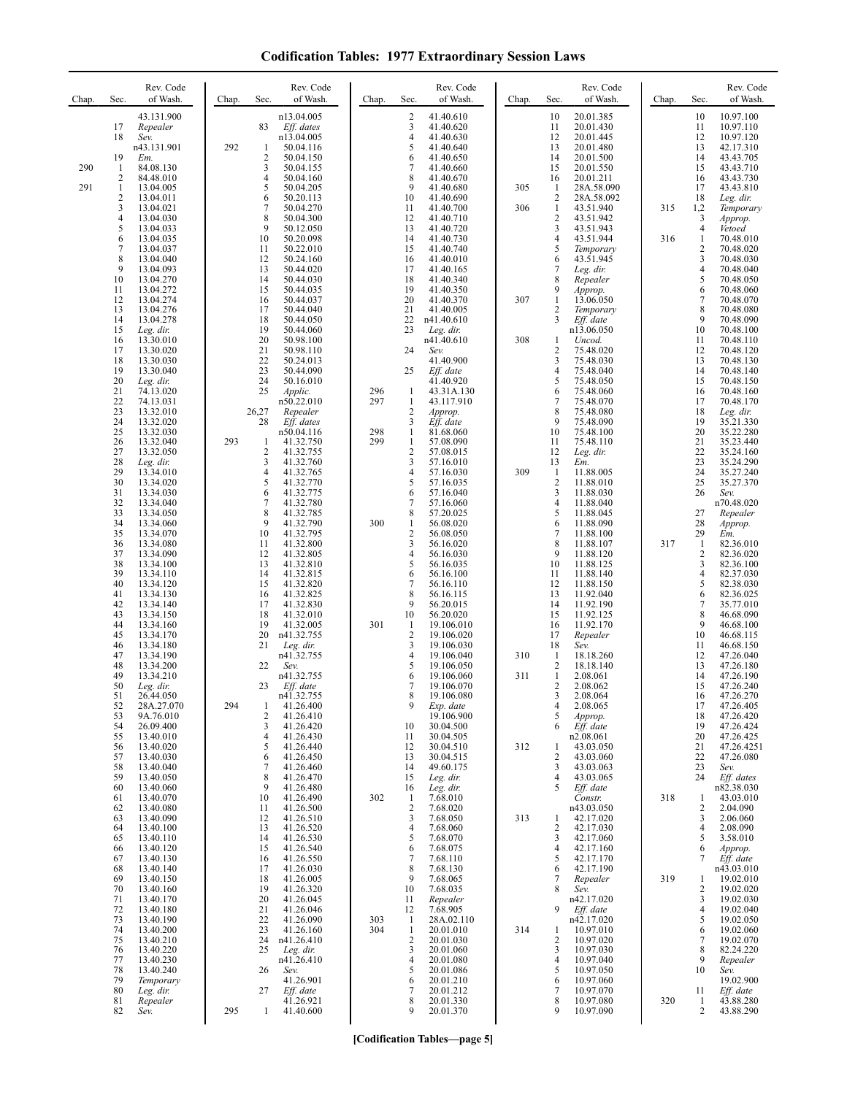**Codification Tables: 1977 Extraordinary Session Laws**

| Chap.      | Rev. Code<br>Sec.<br>of Wash.                                                                                                                                                                                                                                                                                                                                                                                    | Rev. Code<br>of Wash.<br>Chap.<br>Sec.                                                                                                                                                                                                                                                                                                                                                            | Chap.                    | Sec.                                                                                                                            | Rev. Code<br>of Wash.                                                                                                                                                                                                                                                          | Chap.             | Sec.                                                                                                                                                                                                           | Rev. Code<br>of Wash.                                                                                                                                                                                                                                                        | Chap.      | Sec.                                                                                                                                                    | Rev. Code<br>of Wash.                                                                                                                                                                                                                                                    |
|------------|------------------------------------------------------------------------------------------------------------------------------------------------------------------------------------------------------------------------------------------------------------------------------------------------------------------------------------------------------------------------------------------------------------------|---------------------------------------------------------------------------------------------------------------------------------------------------------------------------------------------------------------------------------------------------------------------------------------------------------------------------------------------------------------------------------------------------|--------------------------|---------------------------------------------------------------------------------------------------------------------------------|--------------------------------------------------------------------------------------------------------------------------------------------------------------------------------------------------------------------------------------------------------------------------------|-------------------|----------------------------------------------------------------------------------------------------------------------------------------------------------------------------------------------------------------|------------------------------------------------------------------------------------------------------------------------------------------------------------------------------------------------------------------------------------------------------------------------------|------------|---------------------------------------------------------------------------------------------------------------------------------------------------------|--------------------------------------------------------------------------------------------------------------------------------------------------------------------------------------------------------------------------------------------------------------------------|
| 290<br>291 | 43.131.900<br>17<br>Repealer<br>18<br>Sev.<br>n43.131.901<br>19<br>Em.<br>84.08.130<br>$\mathbf{1}$<br>2<br>84.48.010<br>13.04.005<br>1<br>$\overline{2}$<br>13.04.011<br>3<br>13.04.021<br>$\overline{4}$<br>13.04.030<br>5<br>13.04.033<br>6<br>13.04.035<br>7<br>13.04.037<br>8<br>13.04.040<br>9<br>13.04.093<br>13.04.270<br>10<br>11<br>13.04.272<br>12<br>13.04.274<br>13<br>13.04.276<br>14<br>13.04.278 | n13.04.005<br>83<br>Eff. dates<br>n13.04.005<br>292<br>50.04.116<br>-1<br>2<br>50.04.150<br>3<br>50.04.155<br>4<br>50.04.160<br>5<br>50.04.205<br>6<br>50.20.113<br>7<br>50.04.270<br>8<br>50.04.300<br>9<br>50.12.050<br>10<br>50.20.098<br>50.22.010<br>11<br>12<br>50.24.160<br>13<br>50.44.020<br>14<br>50.44.030<br>15<br>50.44.035<br>16<br>50.44.037<br>17<br>50.44.040<br>18<br>50.44.050 |                          | $\overline{c}$<br>3<br>4<br>5<br>6<br>7<br>8<br>9<br>10<br>11<br>12<br>13<br>14<br>15<br>16<br>17<br>18<br>19<br>20<br>21<br>22 | 41.40.610<br>41.40.620<br>41.40.630<br>41.40.640<br>41.40.650<br>41.40.660<br>41.40.670<br>41.40.680<br>41.40.690<br>41.40.700<br>41.40.710<br>41.40.720<br>41.40.730<br>41.40.740<br>41.40.010<br>41.40.165<br>41.40.340<br>41.40.350<br>41.40.370<br>41.40.005<br>n41.40.610 | 305<br>306<br>307 | 10<br>11<br>12<br>13<br>14<br>15<br>16<br>$\mathbf{1}$<br>$\overline{2}$<br>$\mathbf{1}$<br>$\overline{2}$<br>3<br>$\overline{4}$<br>5<br>6<br>$\overline{7}$<br>8<br>9<br>$\mathbf{1}$<br>$\overline{2}$<br>3 | 20.01.385<br>20.01.430<br>20.01.445<br>20.01.480<br>20.01.500<br>20.01.550<br>20.01.211<br>28A.58.090<br>28A.58.092<br>43.51.940<br>43.51.942<br>43.51.943<br>43.51.944<br>Temporary<br>43.51.945<br>Leg. dir.<br>Repealer<br>Approp.<br>13.06.050<br>Temporary<br>Eff. date | 315<br>316 | 10<br>11<br>12<br>13<br>14<br>15<br>16<br>17<br>18<br>1,2<br>3<br>$\overline{4}$<br>1<br>2<br>$\mathfrak{Z}$<br>$\overline{4}$<br>5<br>6<br>7<br>8<br>9 | 10.97.100<br>10.97.110<br>10.97.120<br>42.17.310<br>43.43.705<br>43.43.710<br>43.43.730<br>43.43.810<br>Leg. dir.<br>Temporary<br>Approp.<br>Vetoed<br>70.48.010<br>70.48.020<br>70.48.030<br>70.48.040<br>70.48.050<br>70.48.060<br>70.48.070<br>70.48.080<br>70.48.090 |
|            | 15<br>Leg. dir.<br>13.30.010<br>16<br>17<br>13.30.020<br>18<br>13.30.030<br>19<br>13.30.040<br>20<br>Leg. dir.<br>21<br>74.13.020<br>22<br>74.13.031<br>23<br>13.32.010<br>24<br>13.32.020<br>25<br>13.32.030<br>26<br>13.32.040<br>27<br>13.32.050<br>28<br>Leg. dir.<br>29<br>13.34.010<br>30<br>13.34.020<br>31<br>13.34.030<br>32<br>13.34.040                                                               | 19<br>50.44.060<br>20<br>50.98.100<br>21<br>50.98.110<br>22<br>50.24.013<br>23<br>50.44.090<br>24<br>50.16.010<br>25<br>Applic.<br>n50.22.010<br>26,27<br>Repealer<br>28<br>Eff. dates<br>n50.04.116<br>293<br>41.32.750<br>1<br>2<br>41.32.755<br>3<br>41.32.760<br>4<br>41.32.765<br>5<br>41.32.770<br>6<br>41.32.775<br>7<br>41.32.780                                                         | 296<br>297<br>298<br>299 | 23<br>24<br>25<br>$\mathbf{1}$<br>1<br>$\overline{2}$<br>3<br>1<br>$\mathbf{1}$<br>$\overline{c}$<br>3<br>4<br>5<br>6<br>7      | Leg. dir.<br>n41.40.610<br>Sev.<br>41.40.900<br>Eff. date<br>41.40.920<br>43.31A.130<br>43.117.910<br>Approp.<br>Eff. date<br>81.68.060<br>57.08.090<br>57.08.015<br>57.16.010<br>57.16.030<br>57.16.035<br>57.16.040<br>57.16.060                                             | 308<br>309        | 1<br>$\overline{2}$<br>3<br>$\overline{4}$<br>5<br>6<br>$\overline{7}$<br>8<br>9<br>10<br>11<br>12<br>13<br>-1<br>$\sqrt{2}$<br>3<br>$\overline{4}$                                                            | n13.06.050<br>Uncod.<br>75.48.020<br>75.48.030<br>75.48.040<br>75.48.050<br>75.48.060<br>75.48.070<br>75.48.080<br>75.48.090<br>75.48.100<br>75.48.110<br>Leg. dir.<br>Em.<br>11.88.005<br>11.88.010<br>11.88.030<br>11.88.040                                               |            | 10<br>11<br>12<br>13<br>14<br>15<br>16<br>17<br>18<br>19<br>20<br>21<br>22<br>23<br>24<br>25<br>26                                                      | 70.48.100<br>70.48.110<br>70.48.120<br>70.48.130<br>70.48.140<br>70.48.150<br>70.48.160<br>70.48.170<br>Leg. dir.<br>35.21.330<br>35.22.280<br>35.23.440<br>35.24.160<br>35.24.290<br>35.27.240<br>35.27.370<br>Sev.<br>n70.48.020                                       |
|            | 33<br>13.34.050<br>34<br>13.34.060<br>35<br>13.34.070<br>36<br>13.34.080<br>37<br>13.34.090<br>38<br>13.34.100<br>39<br>13.34.110<br>40<br>13.34.120<br>41<br>13.34.130<br>42<br>13.34.140<br>43<br>13.34.150<br>44<br>13.34.160<br>13.34.170<br>45<br>46<br>13.34.180<br>47<br>13.34.190<br>48<br>13.34.200                                                                                                     | 8<br>41.32.785<br>9<br>41.32.790<br>10<br>41.32.795<br>41.32.800<br>11<br>12<br>41.32.805<br>13<br>41.32.810<br>14<br>41.32.815<br>15<br>41.32.820<br>16<br>41.32.825<br>17<br>41.32.830<br>18<br>41.32.010<br>19<br>41.32.005<br>20<br>n41.32.755<br>21<br>Leg. dir.<br>n41.32.755<br>22<br>Sev.                                                                                                 | 300<br>301               | 8<br>1<br>$\overline{2}$<br>3<br>4<br>5<br>6<br>7<br>8<br>9<br>10<br>-1<br>$\overline{c}$<br>3<br>4<br>5                        | 57.20.025<br>56.08.020<br>56.08.050<br>56.16.020<br>56.16.030<br>56.16.035<br>56.16.100<br>56.16.110<br>56.16.115<br>56.20.015<br>56.20.020<br>19.106.010<br>19.106.020<br>19.106.030<br>19.106.040<br>19.106.050                                                              | 310               | 5<br>6<br>7<br>8<br>9<br>10<br>11<br>12<br>13<br>14<br>15<br>16<br>17<br>18<br>-1<br>$\overline{2}$                                                                                                            | 11.88.045<br>11.88.090<br>11.88.100<br>11.88.107<br>11.88.120<br>11.88.125<br>11.88.140<br>11.88.150<br>11.92.040<br>11.92.190<br>11.92.125<br>11.92.170<br>Repealer<br>Sev.<br>18.18.260<br>18.18.140                                                                       | 317        | 27<br>28<br>29<br>1<br>2<br>3<br>4<br>5<br>6<br>$\tau$<br>8<br>9<br>10<br>11<br>12<br>13                                                                | Repealer<br>Approp.<br>Em.<br>82.36.010<br>82.36.020<br>82.36.100<br>82.37.030<br>82.38.030<br>82.36.025<br>35.77.010<br>46.68.090<br>46.68.100<br>46.68.115<br>46.68.150<br>47.26.040<br>47.26.180                                                                      |
|            | 49<br>13.34.210<br>50<br>Leg. dir.<br>51<br>26.44.050<br>52<br>28A.27.070<br>53<br>9A.76.010<br>26.09.400<br>54<br>13.40.010<br>55<br>13.40.020<br>56<br>57<br>13.40.030<br>13.40.040<br>58<br>59<br>13.40.050<br>13.40.060<br>60<br>13.40.070<br>61                                                                                                                                                             | n41.32.755<br>23<br>Eff. date<br>n41.32.755<br>294<br>41.26.400<br>1<br>$\mathbf{2}$<br>41.26.410<br>3<br>41.26.420<br>$\overline{4}$<br>41.26.430<br>5<br>41.26.440<br>6<br>41.26.450<br>7<br>41.26.460<br>8<br>41.26.470<br>9<br>41.26.480<br>10<br>41.26.490                                                                                                                                   | 302                      | 6<br>7<br>8<br>9<br>10<br>11<br>12<br>13<br>14<br>15<br>16<br>$\mathbf{1}$                                                      | 19.106.060<br>19.106.070<br>19.106.080<br>Exp. date<br>19.106.900<br>30.04.500<br>30.04.505<br>30.04.510<br>30.04.515<br>49.60.175<br>Leg. dir.<br>Leg. dir.<br>7.68.010                                                                                                       | 311<br>312        | $\mathbf{1}$<br>$\overline{2}$<br>3<br>$\overline{4}$<br>5<br>6<br>1<br>$\sqrt{2}$<br>3<br>$\overline{4}$<br>5                                                                                                 | 2.08.061<br>2.08.062<br>2.08.064<br>2.08.065<br>Approp.<br>Eff. date<br>n2.08.061<br>43.03.050<br>43.03.060<br>43.03.063<br>43.03.065<br>Eff. date<br>Constr.                                                                                                                | 318        | 14<br>15<br>16<br>17<br>18<br>19<br>20<br>21<br>22<br>23<br>24<br>1                                                                                     | 47.26.190<br>47.26.240<br>47.26.270<br>47.26.405<br>47.26.420<br>47.26.424<br>47.26.425<br>47.26.4251<br>47.26.080<br>Sev.<br>Eff. dates<br>n82.38.030<br>43.03.010                                                                                                      |
|            | 13.40.080<br>62<br>13.40.090<br>63<br>13.40.100<br>64<br>13.40.110<br>65<br>13.40.120<br>66<br>13.40.130<br>67<br>13.40.140<br>68<br>13.40.150<br>69<br>70<br>13.40.160<br>71<br>13.40.170<br>13.40.180<br>72<br>73<br>13.40.190                                                                                                                                                                                 | 11<br>41.26.500<br>41.26.510<br>12<br>13<br>41.26.520<br>14<br>41.26.530<br>41.26.540<br>15<br>16<br>41.26.550<br>41.26.030<br>17<br>41.26.005<br>18<br>19<br>41.26.320<br>20<br>41.26.045<br>21<br>41.26.046<br>22<br>41.26.090                                                                                                                                                                  | 303                      | $\sqrt{2}$<br>3<br>4<br>5<br>6<br>7<br>8<br>9<br>10<br>11<br>12<br>$\mathbf{1}$                                                 | 7.68.020<br>7.68.050<br>7.68.060<br>7.68.070<br>7.68.075<br>7.68.110<br>7.68.130<br>7.68.065<br>7.68.035<br>Repealer<br>7.68.905<br>28A.02.110                                                                                                                                 | 313               | 1<br>$\overline{2}$<br>3<br>$\overline{4}$<br>5<br>6<br>7<br>8<br>9                                                                                                                                            | n43.03.050<br>42.17.020<br>42.17.030<br>42.17.060<br>42.17.160<br>42.17.170<br>42.17.190<br>Repealer<br>Sev.<br>n42.17.020<br>Eff. date<br>n42.17.020                                                                                                                        | 319        | 2<br>3<br>4<br>5<br>6<br>7<br>1<br>$\sqrt{2}$<br>3<br>$\overline{4}$<br>5                                                                               | 2.04.090<br>2.06.060<br>2.08.090<br>3.58.010<br>Approp.<br>Eff. date<br>n43.03.010<br>19.02.010<br>19.02.020<br>19.02.030<br>19.02.040<br>19.02.050                                                                                                                      |
|            | 74<br>13.40.200<br>13.40.210<br>75<br>13.40.220<br>76<br>77<br>13.40.230<br>78<br>13.40.240<br>79<br>Temporary<br>80<br>Leg. dir.<br>81<br>Repealer<br>82<br>Sev.                                                                                                                                                                                                                                                | 23<br>41.26.160<br>24<br>n41.26.410<br>25<br>Leg. dir.<br>n41.26.410<br>26<br>Sev.<br>41.26.901<br>27<br>Eff. date<br>41.26.921<br>295<br>41.40.600<br>1                                                                                                                                                                                                                                          | 304                      | $\mathbf{1}$<br>$\overline{2}$<br>3<br>4<br>5<br>6<br>7<br>8<br>9                                                               | 20.01.010<br>20.01.030<br>20.01.060<br>20.01.080<br>20.01.086<br>20.01.210<br>20.01.212<br>20.01.330<br>20.01.370                                                                                                                                                              | 314               | 1<br>$\overline{c}$<br>3<br>$\overline{4}$<br>5<br>6<br>7<br>8<br>9                                                                                                                                            | 10.97.010<br>10.97.020<br>10.97.030<br>10.97.040<br>10.97.050<br>10.97.060<br>10.97.070<br>10.97.080<br>10.97.090                                                                                                                                                            | 320        | 6<br>7<br>8<br>9<br>10<br>11<br>1<br>$\overline{c}$                                                                                                     | 19.02.060<br>19.02.070<br>82.24.220<br>Repealer<br>Sev.<br>19.02.900<br>Eff. date<br>43.88.280<br>43.88.290                                                                                                                                                              |

**[Codification Tables—page 5]**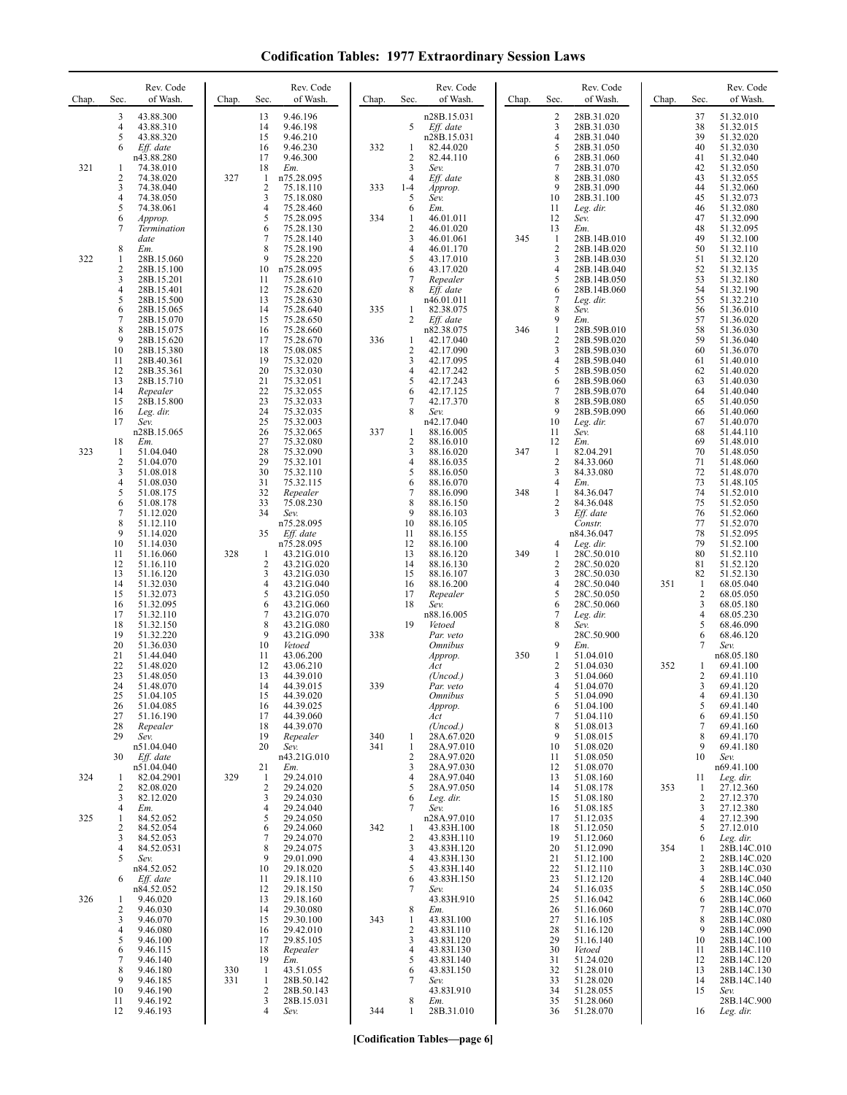| <b>Codification Tables: 1977 Extraordinary Session Laws</b> |  |  |
|-------------------------------------------------------------|--|--|
|-------------------------------------------------------------|--|--|

| Chap. | Sec.                                  | Rev. Code<br>of Wash.                                                                        | Chap.      | Rev. Code<br>of Wash.<br>Sec.                                                                                                     | Chap.      | Rev. Code<br>Sec.<br>of Wash.                                                                                                                     | Chap. | Rev. Code<br>of Wash.<br>Sec.                                                                                                            | Chap. | Sec.                                   | Rev. Code<br>of Wash.                                                                   |
|-------|---------------------------------------|----------------------------------------------------------------------------------------------|------------|-----------------------------------------------------------------------------------------------------------------------------------|------------|---------------------------------------------------------------------------------------------------------------------------------------------------|-------|------------------------------------------------------------------------------------------------------------------------------------------|-------|----------------------------------------|-----------------------------------------------------------------------------------------|
| 321   | 3<br>4<br>5<br>6<br>1                 | 43.88.300<br>43.88.310<br>43.88.320<br>Eff. date<br>n43.88.280<br>74.38.010                  |            | 13<br>9.46.196<br>14<br>9.46.198<br>15<br>9.46.210<br>16<br>9.46.230<br>17<br>9.46.300<br>18<br>Em.                               | 332        | n28B.15.031<br>5<br>Eff. date<br>n28B.15.031<br>82.44.020<br>-1<br>$\overline{c}$<br>82.44.110<br>3<br>Sev.                                       |       | $\overline{c}$<br>28B.31.020<br>3<br>28B.31.030<br>4<br>28B.31.040<br>5<br>28B.31.050<br>6<br>28B.31.060<br>7<br>28B.31.070              |       | 37<br>38<br>39<br>40<br>41<br>42       | 51.32.010<br>51.32.015<br>51.32.020<br>51.32.030<br>51.32.040<br>51.32.050              |
|       | $\overline{c}$<br>3<br>4<br>5         | 74.38.020<br>74.38.040<br>74.38.050<br>74.38.061                                             | 327        | n75.28.095<br>-1<br>$\overline{2}$<br>75.18.110<br>3<br>75.18.080<br>75.28.460<br>4                                               | 333        | $\overline{4}$<br>Eff. date<br>$1 - 4$<br>Approp.<br>5<br>Sev.<br>6<br>Em.                                                                        |       | 8<br>28B.31.080<br>9<br>28B.31.090<br>10<br>28B.31.100<br>11<br>Leg. dir.                                                                |       | 43<br>44<br>45<br>46                   | 51.32.055<br>51.32.060<br>51.32.073<br>51.32.080                                        |
|       | 6<br>7<br>8                           | Approp.<br><i>Termination</i><br>date<br>Em.                                                 |            | 5<br>75.28.095<br>75.28.130<br>6<br>7<br>75.28.140<br>8<br>75.28.190                                                              | 334        | 46.01.011<br>$\mathbf{1}$<br>$\overline{c}$<br>46.01.020<br>$\mathfrak{Z}$<br>46.01.061<br>$\overline{4}$<br>46.01.170                            | 345   | 12<br>Sev.<br>13<br>Em.<br>$\mathbf{1}$<br>28B.14B.010<br>$\overline{2}$                                                                 |       | 47<br>48<br>49<br>50                   | 51.32.090<br>51.32.095<br>51.32.100<br>51.32.110                                        |
| 322   | 1<br>$\overline{c}$<br>3<br>4         | 28B.15.060<br>28B.15.100<br>28B.15.201<br>28B.15.401                                         |            | 9<br>75.28.220<br>10<br>n75.28.095<br>75.28.610<br>11<br>12<br>75.28.620                                                          |            | 5<br>43.17.010<br>6<br>43.17.020<br>$\overline{7}$<br>Repealer<br>8<br>Eff. date                                                                  |       | 28B.14B.020<br>3<br>28B.14B.030<br>4<br>28B.14B.040<br>5<br>28B.14B.050<br>6<br>28B.14B.060                                              |       | 51<br>52<br>53<br>54                   | 51.32.120<br>51.32.135<br>51.32.180<br>51.32.190                                        |
|       | 5<br>6<br>7<br>8                      | 28B.15.500<br>28B.15.065<br>28B.15.070<br>28B.15.075                                         |            | 13<br>75.28.630<br>14<br>75.28.640<br>15<br>75.28.650<br>16<br>75.28.660                                                          | 335        | n46.01.011<br>82.38.075<br>-1<br>Eff. date<br>2<br>n82.38.075                                                                                     | 346   | 7<br>Leg. dir.<br>8<br>Sev.<br>9<br>Em.<br>$\mathbf{1}$<br>28B.59B.010                                                                   |       | 55<br>56<br>57<br>58                   | 51.32.210<br>51.36.010<br>51.36.020<br>51.36.030                                        |
|       | 9<br>10<br>11<br>12<br>13<br>14<br>15 | 28B.15.620<br>28B.15.380<br>28B.40.361<br>28B.35.361<br>28B.15.710<br>Repealer<br>28B.15.800 |            | 17<br>75.28.670<br>18<br>75.08.085<br>19<br>75.32.020<br>20<br>75.32.030<br>21<br>75.32.051<br>22<br>75.32.055<br>23<br>75.32.033 | 336        | 42.17.040<br>-1<br>$\sqrt{2}$<br>42.17.090<br>3<br>42.17.095<br>42.17.242<br>$\overline{4}$<br>5<br>42.17.243<br>42.17.125<br>6<br>7<br>42.17.370 |       | 2<br>28B.59B.020<br>3<br>28B.59B.030<br>4<br>28B.59B.040<br>5<br>28B.59B.050<br>6<br>28B.59B.060<br>7<br>28B.59B.070<br>8<br>28B.59B.080 |       | 59<br>60<br>61<br>62<br>63<br>64<br>65 | 51.36.040<br>51.36.070<br>51.40.010<br>51.40.020<br>51.40.030<br>51.40.040<br>51.40.050 |
|       | 16<br>17<br>18                        | Leg. dir.<br>Sev.<br>n28B.15.065<br>Em.                                                      |            | 24<br>75.32.035<br>25<br>75.32.003<br>26<br>75.32.065<br>27<br>75.32.080                                                          | 337        | 8<br>Sev.<br>n42.17.040<br>88.16.005<br>-1<br>$\sqrt{2}$<br>88.16.010                                                                             |       | 9<br>28B.59B.090<br>10<br>Leg. dir.<br>11<br>Sev.<br>Em.<br>12                                                                           |       | 66<br>67<br>68<br>69                   | 51.40.060<br>51.40.070<br>51.44.110<br>51.48.010                                        |
| 323   | -1<br>$\overline{c}$<br>3<br>4        | 51.04.040<br>51.04.070<br>51.08.018<br>51.08.030                                             |            | 28<br>75.32.090<br>29<br>75.32.101<br>30<br>75.32.110<br>31<br>75.32.115                                                          |            | 3<br>88.16.020<br>$\overline{4}$<br>88.16.035<br>5<br>88.16.050<br>6<br>88.16.070                                                                 | 347   | $\mathbf{1}$<br>82.04.291<br>$\overline{c}$<br>84.33.060<br>3<br>84.33.080<br>4<br>Em.                                                   |       | 70<br>71<br>72<br>73                   | 51.48.050<br>51.48.060<br>51.48.070<br>51.48.105                                        |
|       | 5<br>6<br>7<br>8<br>9                 | 51.08.175<br>51.08.178<br>51.12.020<br>51.12.110                                             |            | 32<br>Repealer<br>33<br>75.08.230<br>34<br>Sev.<br>n75.28.095                                                                     |            | $\overline{7}$<br>88.16.090<br>8<br>88.16.150<br>9<br>88.16.103<br>10<br>88.16.105<br>88.16.155<br>11                                             | 348   | 84.36.047<br>1<br>2<br>84.36.048<br>3<br>Eff. date<br>Constr.                                                                            |       | 74<br>75<br>76<br>77<br>78             | 51.52.010<br>51.52.050<br>51.52.060<br>51.52.070                                        |
|       | 10<br>11<br>12<br>13                  | 51.14.020<br>51.14.030<br>51.16.060<br>51.16.110<br>51.16.120                                | 328        | 35<br>Eff. date<br>n75.28.095<br>43.21G.010<br>1<br>$\overline{2}$<br>43.21G.020<br>3<br>43.21G.030                               |            | 12<br>88.16.100<br>13<br>88.16.120<br>14<br>88.16.130<br>15<br>88.16.107                                                                          | 349   | n84.36.047<br>Leg. dir.<br>4<br>1<br>28C.50.010<br>2<br>28C.50.020<br>3<br>28C.50.030                                                    |       | 79<br>80<br>81<br>82                   | 51.52.095<br>51.52.100<br>51.52.110<br>51.52.120<br>51.52.130                           |
|       | 14<br>15<br>16<br>17                  | 51.32.030<br>51.32.073<br>51.32.095<br>51.32.110                                             |            | 4<br>43.21G.040<br>5<br>43.21G.050<br>6<br>43.21G.060<br>7<br>43.21G.070                                                          |            | 16<br>88.16.200<br>17<br>Repealer<br>18<br>Sev.<br>n88.16.005                                                                                     |       | 4<br>28C.50.040<br>5<br>28C.50.050<br>6<br>28C.50.060<br>7<br>Leg. dir.                                                                  | 351   | -1<br>$\overline{c}$<br>3<br>4         | 68.05.040<br>68.05.050<br>68.05.180<br>68.05.230                                        |
|       | 18<br>19<br>20<br>21                  | 51.32.150<br>51.32.220<br>51.36.030<br>51.44.040                                             |            | 8<br>43.21G.080<br>9<br>43.21G.090<br>10<br>Vetoed<br>11<br>43.06.200                                                             | 338        | 19<br>Vetoed<br>Par. veto<br><i><b>Omnibus</b></i><br>Approp.                                                                                     | 350   | 8<br>Sev.<br>28C.50.900<br>9<br>Em.<br>1<br>51.04.010                                                                                    |       | 5<br>6<br>7                            | 68.46.090<br>68.46.120<br>Sev.<br>n68.05.180                                            |
|       | 22<br>23<br>24<br>25<br>26<br>27      | 51.48.020<br>51.48.050<br>51.48.070<br>51.04.105<br>51.04.085<br>51.16.190                   |            | 12<br>43.06.210<br>13<br>44.39.010<br>14<br>44.39.015<br>15<br>44.39.020<br>44.39.025<br>16<br>17<br>44.39.060                    | 339        | Act<br>(Uncod.)<br>Par. veto<br>Omnibus<br>Approp.                                                                                                |       | 2<br>51.04.030<br>3<br>51.04.060<br>4<br>51.04.070<br>$\mathcal{L}$<br>51.04.090<br>51.04.100<br>6<br>7                                  | 352   | 1<br>2<br>3<br>4<br>5<br>6             | 69.41.100<br>69.41.110<br>69.41.120<br>69.41.130<br>69.41.140<br>69.41.150              |
|       | 28<br>29<br>30                        | Repealer<br>Sev.<br>n51.04.040<br>Eff. date                                                  |            | 18<br>44.39.070<br>19<br>Repealer<br>20<br>Sev.<br>n43.21G.010                                                                    | 340<br>341 | Act<br>(Uncod.)<br>1<br>28A.67.020<br>28A.97.010<br>1<br>$\overline{2}$<br>28A.97.020                                                             |       | 51.04.110<br>8<br>51.08.013<br>9<br>51.08.015<br>51.08.020<br>10<br>51.08.050<br>11                                                      |       | 7<br>8<br>9<br>10                      | 69.41.160<br>69.41.170<br>69.41.180<br>Sev.                                             |
| 324   | 1<br>2<br>3                           | n51.04.040<br>82.04.2901<br>82.08.020<br>82.12.020                                           | 329        | 21<br>Em.<br>29.24.010<br>1<br>$\overline{c}$<br>29.24.020<br>3<br>29.24.030                                                      |            | 3<br>28A.97.030<br>28A.97.040<br>$\overline{4}$<br>5<br>28A.97.050<br>Leg. dir.<br>6                                                              |       | 12<br>51.08.070<br>51.08.160<br>13<br>51.08.178<br>14<br>51.08.180<br>15                                                                 | 353   | 11<br>-1<br>2                          | n69.41.100<br>Leg. dir.<br>27.12.360<br>27.12.370                                       |
| 325   | 4<br>1<br>$\overline{c}$<br>3<br>4    | Em.<br>84.52.052<br>84.52.054<br>84.52.053<br>84.52.0531                                     |            | 4<br>29.24.040<br>5<br>29.24.050<br>29.24.060<br>6<br>7<br>29.24.070<br>8<br>29.24.075                                            | 342        | 7<br>Sev.<br>n28A.97.010<br>43.83H.100<br>-1<br>$\sqrt{2}$<br>43.83H.110<br>$\mathfrak{Z}$<br>43.83H.120                                          |       | 51.08.185<br>16<br>17<br>51.12.035<br>18<br>51.12.050<br>19<br>51.12.060<br>20<br>51.12.090                                              | 354   | 3<br>4<br>5<br>6<br>1                  | 27.12.380<br>27.12.390<br>27.12.010<br>Leg. dir.<br>28B.14C.010                         |
|       | 5<br>6                                | Sev.<br>n84.52.052<br>Eff. date<br>n84.52.052                                                |            | 9<br>29.01.090<br>10<br>29.18.020<br>11<br>29.18.110<br>29.18.150<br>12                                                           |            | $\overline{4}$<br>43.83H.130<br>5<br>43.83H.140<br>6<br>43.83H.150<br>7<br>Sev.                                                                   |       | 21<br>51.12.100<br>22<br>51.12.110<br>23<br>51.12.120<br>24<br>51.16.035                                                                 |       | 2<br>3<br>$\overline{4}$<br>5          | 28B.14C.020<br>28B.14C.030<br>28B.14C.040<br>28B.14C.050                                |
| 326   | 1<br>2<br>3<br>4<br>5                 | 9.46.020<br>9.46.030<br>9.46.070<br>9.46.080<br>9.46.100                                     |            | 29.18.160<br>13<br>29.30.080<br>14<br>15<br>29.30.100<br>29.42.010<br>16<br>29.85.105<br>17                                       | 343        | 43.83H.910<br>8<br>Em.<br>43.83I.100<br>$\mathbf{1}$<br>$\overline{2}$<br>43.83I.110<br>$\mathfrak{Z}$<br>43.83I.120                              |       | 25<br>51.16.042<br>26<br>51.16.060<br>27<br>51.16.105<br>28<br>51.16.120<br>29<br>51.16.140                                              |       | 6<br>7<br>8<br>9<br>10                 | 28B.14C.060<br>28B.14C.070<br>28B.14C.080<br>28B.14C.090<br>28B.14C.100                 |
|       | 6<br>7<br>8<br>9<br>10                | 9.46.115<br>9.46.140<br>9.46.180<br>9.46.185<br>9.46.190                                     | 330<br>331 | 18<br>Repealer<br>19<br>Em.<br>-1<br>43.51.055<br>$\mathbf{1}$<br>28B.50.142<br>2<br>28B.50.143                                   |            | $\overline{4}$<br>43.83I.130<br>5<br>43.83I.140<br>6<br>43.83I.150<br>7<br>Sev.<br>43.83I.910                                                     |       | 30<br>Vetoed<br>31<br>51.24.020<br>32<br>51.28.010<br>33<br>51.28.020<br>34<br>51.28.055                                                 |       | 11<br>12<br>13<br>14<br>15             | 28B.14C.110<br>28B.14C.120<br>28B.14C.130<br>28B.14C.140<br>Sev.                        |
|       | 11<br>12                              | 9.46.192<br>9.46.193                                                                         |            | 3<br>28B.15.031<br>4<br>Sev.                                                                                                      | 344        | 8<br>Em.<br>1<br>28B.31.010                                                                                                                       |       | 35<br>51.28.060<br>51.28.070<br>36                                                                                                       |       | 16                                     | 28B.14C.900<br>Leg. dir.                                                                |

**[Codification Tables—page 6]**